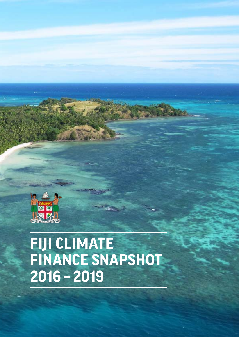

# **FIJI CLIMATE FINANCE SNAPSHOT 2016 – 2019**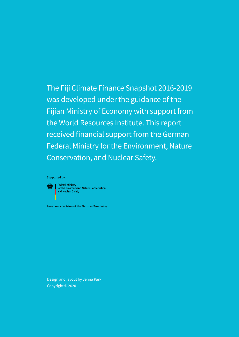The Fiji Climate Finance Snapshot 2016-2019 was developed under the guidance of the Fijian Ministry of Economy with support from the World Resources Institute. This report received financial support from the German Federal Ministry for the Environment, Nature Conservation, and Nuclear Safety.

Supported by:



**Keep | Federal Ministry** Federal Millistry<br>for the Environment, Nature Conservation<br>and Nuclear Safety

based on a decision of the German Bundestag

Design and layout by Jenna Park Copyright © 2020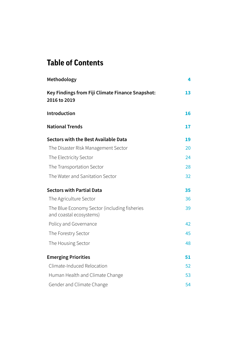## **Table of Contents**

| Methodology                                                             | 4  |
|-------------------------------------------------------------------------|----|
| Key Findings from Fiji Climate Finance Snapshot:<br>2016 to 2019        | 13 |
| Introduction                                                            | 16 |
| <b>National Trends</b>                                                  | 17 |
| Sectors with the Best Available Data                                    | 19 |
| The Disaster Risk Management Sector                                     | 20 |
| The Electricity Sector                                                  | 24 |
| The Transportation Sector                                               | 28 |
| The Water and Sanitation Sector                                         | 32 |
| <b>Sectors with Partial Data</b>                                        | 35 |
| The Agriculture Sector                                                  | 36 |
| The Blue Economy Sector (including fisheries<br>and coastal ecosystems) | 39 |
| Policy and Governance                                                   | 42 |
| The Forestry Sector                                                     | 45 |
| The Housing Sector                                                      | 48 |
| <b>Emerging Priorities</b>                                              | 51 |
| Climate-Induced Relocation                                              | 52 |
| Human Health and Climate Change                                         | 53 |
| Gender and Climate Change                                               | 54 |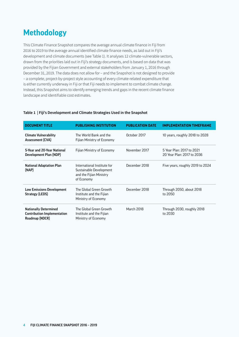## <span id="page-3-0"></span>**Methodology**

This Climate Finance Snapshot compares the average annual climate finance in Fiji from 2016 to 2019 to the average annual identified climate finance needs, as laid out in Fiji's development and climate documents (see Table 1). It analyses 12 climate-vulnerable sectors, drawn from the priorities laid out in Fiji's strategy documents, and is based on data that was provided by the Fijian Government and external stakeholders from January 1, 2016 through December 31, 2019. The data does not allow for – and the Snapshot is not designed to provide – a complete, project-by-project style accounting of every climate-related expenditure that is either currently underway in Fiji or that Fiji needs to implement to combat climate change. Instead, this Snapshot aims to identify emerging trends and gaps in the recent climate finance landscape and identifiable cost estimates.

| <b>DOCUMENT TITLE</b>                                                                | <b>PUBLISHING INSTITUTION</b>                                                                   | <b>PUBLICATION DATE</b> | <b>IMPLEMENTATION TIMEFRAME</b>                         |
|--------------------------------------------------------------------------------------|-------------------------------------------------------------------------------------------------|-------------------------|---------------------------------------------------------|
| <b>Climate Vulnerability</b><br><b>Assessment (CVA)</b>                              | The World Bank and the<br>Fijian Ministry of Economy                                            | October 2017            | 10 years, roughly 2018 to 2028                          |
| 5-Year and 20-Year National<br>Development Plan (NDP)                                | Fijian Ministry of Economy                                                                      | November 2017           | 5 Year Plan: 2017 to 2021<br>20 Year Plan: 2017 to 2036 |
| <b>National Adaptation Plan</b><br>(NAP)                                             | International Institute for<br>Sustainable Development<br>and the Fijian Ministry<br>of Economy | December 2018           | Five years, roughly 2019 to 2024                        |
| <b>Low Emissions Development</b><br>Strategy (LEDS)                                  | The Global Green Growth<br>Institute and the Fijian<br>Ministry of Economy                      | December 2018           | Through 2050, about 2018<br>to 2050                     |
| <b>Nationally Determined</b><br><b>Contribution Implementation</b><br>Roadmap (NDCR) | The Global Green Growth<br>Institute and the Fijian<br>Ministry of Economy                      | <b>March 2018</b>       | Through 2030, roughly 2018<br>to 2030                   |

#### **Table 1 | Fiji's Development and Climate Strategies Used in the Snapshot**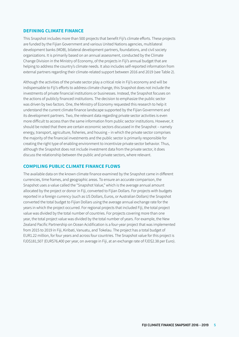## **DEFINING CLIMATE FINANCE**

This Snapshot includes more than 500 projects that benefit Fiji's climate efforts. These projects are funded by the Fijian Government and various United Nations agencies, multilateral development banks (MDB), bilateral development partners, foundations, and civil society organizations. It is primarily based on an annual assessment, conducted by the Climate Change Division in the Ministry of Economy, of the projects in Fiji's annual budget that are helping to address the country's climate needs. It also includes self-reported information from external partners regarding their climate-related support between 2016 and 2019 (see Table 2).

Although the activities of the private sector play a critical role in Fiji's economy and will be indispensable to Fiji's efforts to address climate change, this Snapshot does not include the investments of private financial institutions or businesses. Instead, the Snapshot focuses on the actions of publicly financed institutions. The decision to emphasize the public sector was driven by two factors. One, the Ministry of Economy requested this research to help it understand the current climate finance landscape supported by the Fijian Government and its development partners. Two, the relevant data regarding private sector activities is even more difficult to access than the same information from public sector institutions. However, it should be noted that there are certain economic sectors discussed in the Snapshot – namely energy, transport, agriculture, fisheries, and housing – in which the private sector comprises the majority of the financial investments and the public sector is primarily responsible for creating the right type of enabling environment to incentivize private sector behavior. Thus, although the Snapshot does not include investment data from the private sector, it does discuss the relationship between the public and private sectors, where relevant.

## **COMPILING PUBLIC CLIMATE FINANCE FLOWS**

The available data on the known climate finance examined by the Snapshot came in different currencies, time frames, and geographic areas. To ensure an accurate comparison, the Snapshot uses a value called the "Snapshot Value," which is the average annual amount allocated by the project or donor in Fiji, converted to Fijian Dollars. For projects with budgets reported in a foreign currency (such as US Dollars, Euros, or Australian Dollars) the Snapshot converted the total budget to Fijian Dollars using the average annual exchange rate for the years in which the project occurred. For regional projects that included Fiji, the total project value was divided by the total number of countries. For projects covering more than one year, the total project value was divided by the total number of years. For example, the New Zealand Pacific Partnership on Ocean Acidification is a four-year project that was implemented from 2015 to 2019 in Fiji, Kiribati, Vanuatu, and Tokelau. The project has a total budget of EUR1.22 million, for four years and across four countries. The Snapshot value for this project is FJD\$181,507 (EUR\$76,400 per year, on average in Fiji, at an exchange rate of FJD\$2.38 per Euro).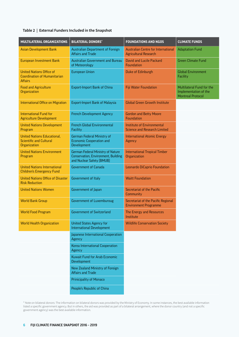#### **Table 2 | External Funders Included in the Snapshot**

| MULTILATERAL ORGANIZATIONS                                                               | <b>BILATERAL DONORS*</b>                                                                              | <b>FOUNDATIONS AND NGOS</b>                                              | <b>CLIMATE FUNDS</b>                                                           |
|------------------------------------------------------------------------------------------|-------------------------------------------------------------------------------------------------------|--------------------------------------------------------------------------|--------------------------------------------------------------------------------|
| <b>Asian Development Bank</b>                                                            | Australian Department of Foreign<br><b>Affairs and Trade</b>                                          | Australian Centre for International<br><b>Agricultural Research</b>      | <b>Adaptation Fund</b>                                                         |
| <b>European Investment Bank</b>                                                          | <b>Australian Government and Bureau</b><br>of Meteorology                                             | <b>David and Lucile Packard</b><br>Foundation                            | <b>Green Climate Fund</b>                                                      |
| <b>United Nations Office of</b><br><b>Coordination of Humanitarian</b><br><b>Affairs</b> | <b>European Union</b>                                                                                 | Duke of Edinburgh                                                        | <b>Global Environment</b><br>Facility                                          |
| <b>Food and Agriculture</b><br>Organization                                              | <b>Export-Import Bank of China</b>                                                                    | Fiji Water Foundation                                                    | Multilateral Fund for the<br>Implementation of the<br><b>Montreal Protocol</b> |
| <b>International Office on Migration</b>                                                 | <b>Export-Import Bank of Malaysia</b>                                                                 | <b>Global Green Growth Institute</b>                                     |                                                                                |
| <b>International Fund for</b><br><b>Agriculture Development</b>                          | <b>French Development Agency</b>                                                                      | <b>Gordon and Betty Moore</b><br><b>Foundation</b>                       |                                                                                |
| <b>United Nations Development</b><br>Program                                             | <b>French Global Environmental</b><br>Facility                                                        | <b>Institute of Environmental</b><br><b>Science and Research Limited</b> |                                                                                |
| <b>United Nations Educational,</b><br><b>Scientific and Cultural</b><br>Organization     | German Federal Ministry of<br><b>Economic Cooperation and</b><br>Development                          | <b>International Atomic Energy</b><br>Agency                             |                                                                                |
| <b>United Nations Environment</b><br>Program                                             | German Federal Ministry of Nature<br>Conservation, Environment, Building<br>and Nuclear Safety (BMUB) | <b>International Tropical Timber</b><br>Organization                     |                                                                                |
| <b>United Nations International</b><br><b>Children's Emergency Fund</b>                  | <b>Government of Canada</b>                                                                           | Leonardo DiCaprio Foundation                                             |                                                                                |
| <b>United Nations Office of Disaster</b><br><b>Risk Reduction</b>                        | Government of Italy                                                                                   | <b>Waitt Foundation</b>                                                  |                                                                                |
| <b>United Nations Women</b>                                                              | Government of Japan                                                                                   | Secretariat of the Pacific<br>Community                                  |                                                                                |
| <b>World Bank Group</b>                                                                  | <b>Government of Luxemburoug</b>                                                                      | Secretariat of the Pacific Regional<br><b>Environment Programme</b>      |                                                                                |
| <b>World Food Program</b>                                                                | <b>Government of Switzerland</b>                                                                      | The Energy and Resources<br>Institute                                    |                                                                                |
| <b>World Health Organization</b>                                                         | <b>United States Agency for</b><br><b>International Development</b>                                   | <b>Wildlife Conservation Society</b>                                     |                                                                                |
|                                                                                          | Japanese International Cooperation<br>Agency                                                          |                                                                          |                                                                                |
|                                                                                          | Korea International Cooperation<br>Agency                                                             |                                                                          |                                                                                |
|                                                                                          | <b>Kuwait Fund for Arab Economic</b><br>Development                                                   |                                                                          |                                                                                |
|                                                                                          | New Zealand Ministry of Foreign<br><b>Affairs and Trade</b>                                           |                                                                          |                                                                                |
|                                                                                          | <b>Prinicipality of Monaco</b>                                                                        |                                                                          |                                                                                |
|                                                                                          | People's Republic of China                                                                            |                                                                          |                                                                                |

\* Note on bilateral donors: The information on bilateral donors was provided by the Ministry of Economy. In some instances, the best available information listed a specific government agency. But in others, the aid was provided as part of a bilateral arrangement, where the donor country (and not a specific government agency) was the best available information.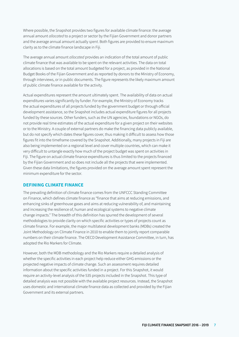Where possible, the Snapshot provides two figures for available climate finance: the average annual amount *allocated* to a project or sector by the Fijian Government and donor partners and the average annual amount actually *spent*. Both figures are provided to ensure maximum clarity as to the climate finance landscape in Fiji.

The average annual amount *allocated* provides an indication of the total amount of public climate finance that was available to be spent on the relevant activities. The data on total allocations is based on the total amount budgeted for a project, as provided in the National Budget Books of the Fijian Government and as reported by donors to the Ministry of Economy, through interviews, or in public documents. The figure represents the likely maximum amount of public climate finance available for the activity.

Actual expenditures represent the amount ultimately spent. The availability of data on actual expenditures varies significantly by funder. For example, the Ministry of Economy tracks the actual expenditures of all projects funded by the government budget or through official development assistance, so the Snapshot includes actual expenditure figures for all projects funded by these sources. Other funders, such as the UN agencies, foundations or NGOs, do not provide real time estimates of the actual expenditure for a given project on their websites or to the Ministry. A couple of external partners do make the financing data publicly available, but do not specify which dates these figures cover, thus making it difficult to assess how those figures fit into the timeframe covered by the Snapshot. Additionally, many projects in Fiji are also being implemented on a regional level and cover multiple countries, which can make it very difficult to untangle exactly how much of the project budget was spent on activities in Fiji. The figure on actual climate finance expenditures is thus limited to the projects financed by the Fijian Government and so does not include all the projects that were implemented. Given these data limitations, the figures provided on the average amount spent represent the minimum expenditure for the sector.

### **DEFINING CLIMATE FINANCE**

The prevailing definition of climate finance comes from the UNFCCC Standing Committee on Finance, which defines climate finance as "finance that aims at reducing emissions, and enhancing sinks of greenhouse gases and aims at reducing vulnerability of, and maintaining and increasing the resilience of, human and ecological systems to negative climate change impacts." The breadth of this definition has spurred the development of several methodologies to provide clarity on which specific activities or types of projects count as climate finance. For example, the major multilateral development banks (MDBs) created the Joint Methodology on Climate Finance in 2010 to enable them to jointly report comparable numbers on their climate finance. The OECD Development Assistance Committee, in turn, has adopted the Rio Markers for Climate.

However, both the MDB methodology and the Rio Markers require a detailed analysis of whether the specific activities in each project help reduce either GHG emissions or the projected negative impacts of climate change. Such an assessment requires detailed information about the specific activities funded in a project. For this Snapshot, it would require an activity-level analysis of the 535 projects included in the Snapshot. This type of detailed analysis was not possible with the available project resources. Instead, the Snapshot uses domestic and international climate finance data as collected and provided by the Fijian Government and its external partners.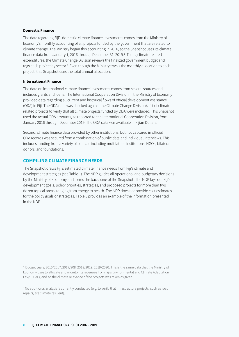#### **Domestic Finance**

The data regarding Fiji's domestic climate finance investments comes from the Ministry of Economy's monthly accounting of all projects funded by the government that are related to climate change. The Ministry began this accounting in 2016, so the Snapshot uses its climate finance data from January 1, 2016 through December 31, 2019.<sup>1</sup> To tag climate-related expenditures, the Climate Change Division reviews the finalized government budget and tags each project by sector.<sup>2</sup> Even though the Ministry tracks the monthly allocation to each project, this Snapshot uses the total annual allocation.

### **International Finance**

The data on international climate finance investments comes from several sources and includes grants and loans. The International Cooperation Division in the Ministry of Economy provided data regarding all current and historical flows of official development assistance (ODA) in Fiji. The ODA data was checked against the Climate Change Division's list of climaterelated projects to verify that all climate projects funded by ODA were included. This Snapshot used the actual ODA amounts, as reported to the International Cooperation Division, from January 2016 through December 2019. The ODA data was available in Fijian Dollars.

Second, climate finance data provided by other institutions, but not captured in official ODA records was secured from a combination of public data and individual interviews. This includes funding from a variety of sources including multilateral institutions, NGOs, bilateral donors, and foundations.

## **COMPILING CLIMATE FINANCE NEEDS**

The Snapshot draws Fiji's estimated climate finance needs from Fiji's climate and development strategies (see Table 1). The NDP guides all operational and budgetary decisions by the Ministry of Economy and forms the backbone of the Snapshot. The NDP lays out Fiji's development goals, policy priorities, strategies, and proposed projects for more than two dozen topical areas, ranging from energy to health. The NDP does not provide cost estimates for the policy goals or strategies. Table 3 provides an example of the information presented in the NDP.

 $1.$  Budget years: 2016/2017; 2017/208; 2018/2019; 2019/2020. This is the same data that the Ministry of Economy uses to allocate and monitor its revenues from Fiji's Environmental and Climate Adaptation Levy (ECAL), and so the climate relevance of the projects was taken as given.

<sup>2</sup> No additional analysis is currently conducted (e.g. to verify that infrastructure projects, such as road repairs, are climate resilient).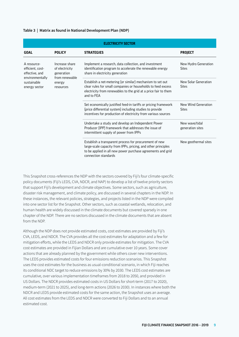#### **Table 3 | Matrix as found in National Development Plan (NDP)**

|                                                                                          | <b>ELECTRICITY SECTOR</b>                                                                                                                                                                                   |                                                                                                                                                                                                                |                                      |  |  |  |
|------------------------------------------------------------------------------------------|-------------------------------------------------------------------------------------------------------------------------------------------------------------------------------------------------------------|----------------------------------------------------------------------------------------------------------------------------------------------------------------------------------------------------------------|--------------------------------------|--|--|--|
| <b>GOAL</b>                                                                              | <b>POLICY</b>                                                                                                                                                                                               | <b>STRATEGIES</b>                                                                                                                                                                                              | <b>PROJECT</b>                       |  |  |  |
| A resource-<br>efficient, cost-<br>effective, and                                        | Increase share<br>of electricity<br>generation                                                                                                                                                              | Implement a research, data collection, and investment<br>identification program to accelerate the renewable energy<br>share in electricity generation                                                          | New Hydro Generation<br><b>Sites</b> |  |  |  |
| from renewable<br>environmentally<br>sustainable<br>energy<br>energy sector<br>resources | Establish a net-metering (or similar) mechanism to set out<br>clear rules for small companies or households to feed excess<br>electricity from renewables to the grid at a price fair to them<br>and to FEA | New Solar Generation<br><b>Sites</b>                                                                                                                                                                           |                                      |  |  |  |
|                                                                                          |                                                                                                                                                                                                             | Set economically justified feed-in tariffs or pricing framework<br>(price differential system) including studies to provide<br>incentives for production of electricity from various sources                   | New Wind Generation<br><b>Sites</b>  |  |  |  |
|                                                                                          |                                                                                                                                                                                                             | Undertake a study and develop an Independent Power<br>Producer (IPP) framework that addresses the issue of<br>intermittent supply of power from IPPs                                                           | New wave/tidal<br>generation sites   |  |  |  |
|                                                                                          |                                                                                                                                                                                                             | Establish a transparent process for procurement of new<br>large-scale capacity from IPPs, pricing, and other principles<br>to be applied in all new power purchase agreements and grid<br>connection standards | New geothermal sites                 |  |  |  |

This Snapshot cross-references the NDP with the sectors covered by Fiji's four climate-specific policy documents (Fiji's LEDS, CVA, NDCR, and NAP) to develop a list of twelve priority sectors that support Fiji's development and climate objectives. Some sectors, such as agriculture, disaster risk management, and climate policy, are discussed in several chapters in the NDP. In these instances, the relevant policies, strategies, and projects listed in the NDP were compiled into one sector list for the Snapshot. Other sectors, such as coastal wetlands, relocation, and human health are widely discussed in the climate documents but covered sparsely in one chapter of the NDP. There are no sectors discussed in the climate documents that are absent from the NDP.

Although the NDP does not provide estimated costs, cost estimates are provided by Fiji's CVA, LEDS, and NDCR. The CVA provides all the cost estimates for adaptation and a few for mitigation efforts, while the LEDS and NDCR only provide estimates for mitigation. The CVA cost estimates are provided in Fijian Dollars and are cumulative over 10 years. Some cover actions that are already planned by the government while others cover new interventions. The LEDS provides estimated costs for four emissions reduction scenarios. This Snapshot uses the cost estimates for the business as usual-conditional scenario, in which Fiji reaches its conditional NDC target to reduce emissions by 30% by 2030. The LEDS cost estimates are cumulative, over various implementation timeframes from 2018 to 2050, and provided in US Dollars. The NDCR provides estimated costs in US Dollars for short-term (2017 to 2020), medium-term (2021 to 2025), and long-term actions (2026 to 2030). In instances where both the NDCR and LEDS provide estimated costs for the same action, the Snapshot uses an average. All cost estimates from the LEDS and NDCR were converted to Fiji Dollars and to an annual estimated cost.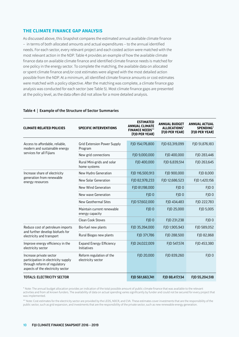### **THE CLIMATE FINANCE GAP ANALYSIS**

As discussed above, this Snapshot compares the estimated annual available climate finance – in terms of both allocated amounts and actual expenditures – to the annual identified needs. For each sector, every relevant project and each costed action were matched with the most relevant action in the NDP. Table 4 provides an example of how the available climate finance data on available climate finance and identified climate finance needs is matched for one policy in the energy sector. To complete the matching, the available data on allocated or spent climate finance and/or cost estimates were aligned with the most detailed action possible from the NDP. At a minimum, all identified climate finance amounts or cost estimates were matched with a policy objective. After the matching was complete, a climate finance gap analysis was conducted for each sector (see Table 5). Most climate finance gaps are presented at the policy level, as the data often did not allow for a more detailed analysis.

| <b>CLIMATE-RELATED POLICIES</b>                                                                                                     | <b>SPECIFIC INTERVENTIONS</b>                  | <b>ESTIMATED</b><br><b>ANNUAL CLIMATE</b><br><b>FINANCE NEEDS**</b><br>(FJD PER YEAR) | <b>ANNUAL BUDGET</b><br>ALLOCATIONS*<br>(FJD PER YEAR) | <b>ANNUAL ACTUAL</b><br><b>SPENDING*</b><br>(FJD PER YEAR) |
|-------------------------------------------------------------------------------------------------------------------------------------|------------------------------------------------|---------------------------------------------------------------------------------------|--------------------------------------------------------|------------------------------------------------------------|
| Access to affordable, reliable,<br>modern and sustainable energy                                                                    | <b>Grid Extension Power Supply</b><br>Program  | FJD 154,176,800                                                                       | FJD 63,319,099                                         | FJD 51,876,183                                             |
| services for all Fijians                                                                                                            | New grid connections                           | FJD 9,000,000                                                                         | FJD 400,000                                            | FJD 283,446                                                |
|                                                                                                                                     | Rural Mini-grids and solar<br>home systems     | FJD 400,000                                                                           | FJD 6,839,514                                          | FJD 263,645                                                |
| Increase share of electricity                                                                                                       | New Hydro Generation                           | FJD 116,500,913                                                                       | FJD 900,000                                            | FJD 8,000                                                  |
| generation from renewable<br>energy resources                                                                                       | New Solar Generation                           | FJD 82,978,233                                                                        | FJD 12,686,523                                         | FJD 1,420,156                                              |
|                                                                                                                                     | New Wind Generation                            | FJD 81,198,000                                                                        | FID <sub>0</sub>                                       | FJD <sub>0</sub>                                           |
|                                                                                                                                     | New wave Generation                            | FJD <sub>0</sub>                                                                      | FJD <sub>0</sub>                                       | FJD <sub>0</sub>                                           |
|                                                                                                                                     | New Geothermal Sites                           | FJD 57,602,000                                                                        | FID 434.483                                            | FJD 222,783                                                |
|                                                                                                                                     | Maintain current renewable<br>energy capacity  | FJD <sub>0</sub>                                                                      | FJD 25,000                                             | FJD 5,005                                                  |
|                                                                                                                                     | <b>Clean Cook Stoves</b>                       | FJD <sub>0</sub>                                                                      | FJD 231,238                                            | FID <sub>0</sub>                                           |
| Reduce cost of petroleum imports                                                                                                    | Bio-fuel new plants                            | FJD 35,394,000                                                                        | FJD 1,905,943                                          | FJD 589,052                                                |
| and further develop biofuels for<br>electricity and transport                                                                       | Rural Biogas new plants                        | FJD 371,786                                                                           | FJD 288,500                                            | FJD 82,868                                                 |
| Improve energy efficiency in the<br>electricity sector                                                                              | <b>Expand Energy Efficiency</b><br>Initiatives | FJD 24,022,009                                                                        | FJD 547,574                                            | FJD 453,380                                                |
| Increase private sector<br>participation in electricity supply<br>through reform of regulatory<br>aspects of the electricity sector | Reform regulation of the<br>electricity sector | FJD 20,000                                                                            | FJD 839,260                                            | FJD <sub>0</sub>                                           |
| <b>TOTALS: ELECTRICITY SECTOR</b>                                                                                                   |                                                | FJD 561,663,741                                                                       | FJD 88,417,134                                         | FJD 55,204,518                                             |

#### **Table 4 | Example of the Structure of Sector Summaries**

\* Note: The annual budget allocation provides an indication of the total possible amount of public climate finance that was available to the relevant activities and from all known funders. The availability of data on actual spending varies significantly by funder and could not be secured for every project that was implemented.

\*\* Note: Cost estimates for the electricity sector are provided by the LEDS, NDCR, and CVA. These estimates cover investments that are the responsibility of the public sector, such as grid expansion, and investments that are the responsibility of the private sector, such as new renewable energy generation.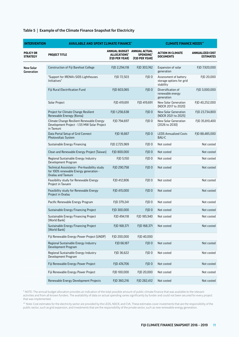#### **Table 5 | Example of the Climate Finance Snapshot for Electricity**

| <b>INTERVENTION</b>                 | <b>AVAILABLE AND SPENT CLIMATE FINANCE*</b>                                                                          |                                                               |                             | <b>CLIMATE FINANCE NEEDS**</b>                                 |                                            |
|-------------------------------------|----------------------------------------------------------------------------------------------------------------------|---------------------------------------------------------------|-----------------------------|----------------------------------------------------------------|--------------------------------------------|
| <b>POLICY OR</b><br><b>STRATEGY</b> | PROJECT TITLE                                                                                                        | ANNUAL BUDGET ANNUAL ACTUAL<br>ALLOCATIONS*<br>(FJD PER YEAR) | SPENDING*<br>(FJD PER YEAR) | <b>ACTION IN CLIMATE</b><br><b>DOCUMENTS</b>                   | <b>ANNUALIZED COST</b><br><b>ESTIMATES</b> |
| <b>New Solar</b><br>Generation      | Construction of Fiji Barefoot College                                                                                | FJD 2,294,118                                                 | FJD 303,742                 | Expansion of solar<br>generation                               | FJD 7,920,000                              |
|                                     | "Support for IRENA's SIDS Lighthouses<br>Initiatives"                                                                | FJD 72,503                                                    | FJD <sub>0</sub>            | Assessment of battery<br>storage options for grid<br>stability | FJD 20,000                                 |
|                                     | Fiji Rural Electrification Fund                                                                                      | FJD 603,065                                                   | FJD <sub>0</sub>            | Diversification of<br>renewable energy<br>generation           | FJD 3,000,000                              |
|                                     | Solar Project                                                                                                        | FJD 419,691                                                   | FJD 419,691                 | New Solar Generation<br>(NDCR 2017 to 2020)                    | FJD 40,252,000                             |
|                                     | Project for Climate Change Resilient<br>Renewable Eneregy (Korea)                                                    | FJD 1,256,638                                                 | FJD <sub>0</sub>            | New Solar Generation<br>(NDCR 2021 to 2025)                    | FJD 23,734,800                             |
|                                     | Climate Change Resilient Renewable Energy<br>Development Project - 1.55 MW Solar Project<br>in Taveuni               | FJD 794,697                                                   | FJD <sub>0</sub>            | New Solar Generation<br>(2026 to 2030)                         | FJD 35,810,400                             |
|                                     | Data Portal Setup of Grid Connect<br>Photovoltaic System                                                             | FJD 16,667                                                    | FJD <sub>0</sub>            | <b>LEDS Annualized Costs</b><br><b>BAU-C</b>                   | FJD 88,485,000                             |
|                                     | Sustainable Energy Financing                                                                                         | FJD 2,725,969                                                 | FJD <sub>0</sub>            | Not costed                                                     | Not costed                                 |
|                                     | Clean and Renewable Energy Project (Taiwan)                                                                          | FJD 800,000                                                   | FJD <sub>0</sub>            | Not costed                                                     | Not costed                                 |
|                                     | Regional Sustainable Energy Industry<br>Development Program                                                          | FJD 5,150                                                     | FJD <sub>0</sub>            | Not costed                                                     | Not costed                                 |
|                                     | Technical Asssistance - Pre-feasibility study<br>for 100% renewable Energy generation -<br><b>Ovalau and Taveuni</b> | FJD 290,758                                                   | FJD <sub>0</sub>            | Not costed                                                     | Not costed                                 |
|                                     | Feasibility study for Renewable Energy<br>Project in Tavueni                                                         | FJD 412,806                                                   | FJD <sub>0</sub>            | Not costed                                                     | Not costed                                 |
|                                     | Feasibility study for Renewable Energy<br>Project in Ovalau                                                          | FJD 415,000                                                   | FJD <sub>0</sub>            | Not costed                                                     | Not costed                                 |
|                                     | Pacific Renewable Energy Program                                                                                     | FJD 379,241                                                   | FJD <sub>0</sub>            | Not costed                                                     | Not costed                                 |
|                                     | Sustainable Energy Financing Project                                                                                 | FJD 300,000                                                   | FJD <sub>0</sub>            | Not costed                                                     | Not costed                                 |
|                                     | Sustainable Energy Financing Project<br>(World Bank)                                                                 | FJD 494,118                                                   | FJD 185,940                 | Not costed                                                     | Not costed                                 |
|                                     | Sustainable Energy Financing Project<br>(World Bank)                                                                 | FJD 168,371                                                   | FJD 168,371                 | Not costed                                                     | Not costed                                 |
|                                     | Fiji Renewable Energy Power Project (UNDP)                                                                           | FJD 200,000                                                   | FJD 40,000                  |                                                                |                                            |
|                                     | Regional Sustainable Energy Industry<br>Development Program                                                          | FJD 66,187                                                    | FJD 0                       | Not costed                                                     | Not costed                                 |
|                                     | Regional Sustainable Energy Industry<br>Development Program                                                          | FJD 36,622                                                    | FJD <sub>0</sub>            | Not costed                                                     | Not costed                                 |
|                                     | Fiji Renewable Energy Power Project                                                                                  | FJD 474,706                                                   | FJD <sub>0</sub>            | Not costed                                                     | Not costed                                 |
|                                     | Fiji Renewable Energy Power Project                                                                                  | FJD 100,000                                                   | FJD 20,000                  | Not costed                                                     | Not costed                                 |
|                                     | Renewable Energy Development Projects                                                                                | FJD 360,216                                                   | FJD 282,412                 | Not costed                                                     | Not costed                                 |

\* NOTE: The annual budget allocation provides an indication of the total possible amount of public climate finance that was available to the relevant activities and from all known funders. The availability of data on actual spending varies significantly by funder and could not been secured for every project that was implemented.

\*\* Note: Cost estimates for the electricity sector are provided by the LEDS, NDCR, and CVA. These estimates cover investments that are the responsibility of the public sector, such as grid expansion, and investments that are the responsibility of the private sector, such as new renewable energy generation.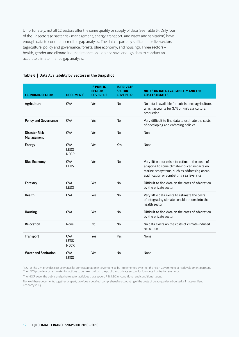Unfortunately, not all 12 sectors offer the same quality or supply of data (see Table 6). Only four of the 12 sectors (disaster risk management, energy, transport, and water and sanitation) have enough data to conduct a credible gap analysis. The data is partially sufficient for five sectors (agriculture, policy and governance, forests, blue economy, and housing). Three sectors – health, gender and climate-induced relocation – do not have enough data to conduct an accurate climate finance gap analysis.

#### **Table 6 | Data Availability by Sectors in the Snapshot**

| <b>ECONOMIC SECTOR</b>             | <b>DOCUMENT*</b>                         | <b>IS PUBLIC</b><br><b>SECTOR</b><br><b>COVERED?</b> | <b>IS PRIVATE</b><br><b>SECTOR</b><br><b>COVERED?</b> | NOTES ON DATA AVAILABILITY AND THE<br><b>COST ESTIMATES</b>                                                                                                                                  |
|------------------------------------|------------------------------------------|------------------------------------------------------|-------------------------------------------------------|----------------------------------------------------------------------------------------------------------------------------------------------------------------------------------------------|
| Agriculture                        | <b>CVA</b>                               | Yes                                                  | No                                                    | No data is available for subsistence agriculture,<br>which accounts for 37% of Fiji's agricultural<br>production                                                                             |
| <b>Policy and Governance</b>       | <b>CVA</b>                               | Yes                                                  | N <sub>0</sub>                                        | Very difficult to find data to estimate the costs<br>of developing and enforcing policies                                                                                                    |
| <b>Disaster Risk</b><br>Management | <b>CVA</b>                               | Yes                                                  | No                                                    | None                                                                                                                                                                                         |
| <b>Energy</b>                      | <b>CVA</b><br><b>LEDS</b><br><b>NDCR</b> | Yes                                                  | Yes                                                   | None                                                                                                                                                                                         |
| <b>Blue Economy</b>                | <b>CVA</b><br><b>LEDS</b>                | Yes                                                  | No                                                    | Very little data exists to estimate the costs of<br>adapting to some climate-induced impacts on<br>marine ecosystems, such as addressing ocean<br>acidification or combatting sea level rise |
| Forestry                           | <b>CVA</b><br><b>LEDS</b>                | Yes                                                  | No                                                    | Difficult to find data on the costs of adaptation<br>by the private sector                                                                                                                   |
| <b>Health</b>                      | <b>CVA</b>                               | Yes                                                  | <b>No</b>                                             | Very little data exists to estimate the costs<br>of integrating climate considerations into the<br>health sector                                                                             |
| <b>Housing</b>                     | <b>CVA</b>                               | Yes                                                  | No                                                    | Difficult to find data on the costs of adaptation<br>by the private sector                                                                                                                   |
| <b>Relocation</b>                  | None                                     | N <sub>0</sub>                                       | <b>No</b>                                             | No data exists on the costs of climate-induced<br>relocation                                                                                                                                 |
| <b>Transport</b>                   | <b>CVA</b><br><b>LEDS</b><br><b>NDCR</b> | Yes                                                  | Yes                                                   | None                                                                                                                                                                                         |
| <b>Water and Sanitation</b>        | <b>CVA</b><br>LEDS                       | Yes                                                  | No                                                    | None                                                                                                                                                                                         |

\*NOTE: The CVA provides cost estimates for some adaptation interventions to be implemented by either the Fijian Government or its development partners. The LEDS provides cost estimates for actions to be taken by both the public and private sectors for four decarbonization scenarios.

The NDCR cover the public and private sector activities that support Fiji's NDC unconditional and conditional target.

None of these documents, together or apart, provides a detailed, comprehensive accounting of the costs of creating a decarbonized, climate-resilient economy in Fiji.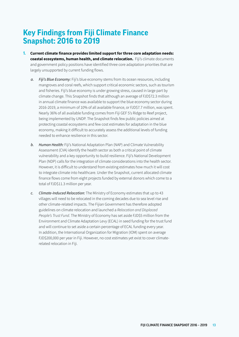## <span id="page-12-0"></span>**Key Findings from Fiji Climate Finance Snapshot: 2016 to 2019**

- **1. Current climate finance provides limited support for three core adaptation needs: coastal ecosystems, human health, and climate relocation.** Fiji's climate documents and government policy positions have identified three core adaptation priorities that are largely unsupported by current funding flows.
	- *a. Fiji's Blue Economy:* Fiji's blue economy stems from its ocean resources, including mangroves and coral reefs, which support critical economic sectors, such as tourism and fisheries. Fiji's blue economy is under growing stress, caused in large part by climate change. This Snapshot finds that although an average of FJD\$72.3 million in annual climate finance was available to support the blue economy sector during 2016-2019, a minimum of 10% of all available finance, or FJD\$7.7 million, was spent. Nearly 36% of all available funding comes from Fiji GEF 5's Ridge to Reef project, being implemented by UNDP. The Snapshot finds few public policies aimed at protecting coastal ecosystems and few cost estimates for adaptation in the blue economy, making it difficult to accurately assess the additional levels of funding needed to enhance resilience in this sector.
	- *b. Human Health:* Fiji's National Adaptation Plan (NAP) and Climate Vulnerability Assessment (CVA) identify the health sector as both a critical point of climate vulnerability and a key opportunity to build resilience. Fiji's National Development Plan (NDP) calls for the integration of climate considerations into the health sector. However, it is difficult to understand from existing estimates how much it will cost to integrate climate into healthcare. Under the Snapshot, current allocated climate finance flows come from eight projects funded by external donors which come to a total of FJD\$11.3 million per year.
	- *c. Climate-Induced Relocation:* The Ministry of Economy estimates that up to 43 villages will need to be relocated in the coming decades due to sea level rise and other climate-related impacts. The Fijian Government has therefore adopted guidelines on climate relocation and launched a *Relocation and Displaced People's Trust Fund*. The Ministry of Economy has set aside FJD\$5 million from the Environment and Climate Adaptation Levy (ECAL) in seed funding for the trust fund and will continue to set aside a certain percentage of ECAL funding every year. In addition, the International Organization for Migration (IOM) spent on average FJD\$200,000 per year in Fiji. However, no cost estimates yet exist to cover climaterelated relocation in Fiji.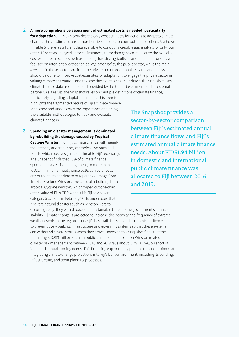#### **2. A more comprehensive assessment of estimated costs is needed, particularly**

**for adaptation.** Fiji's CVA provides the only cost estimates for actions to adapt to climate change. These estimates are comprehensive for some sectors but not for others. As shown in Table 6, there is sufficient data available to conduct a credible gap analysis for only four of the 12 sectors analyzed. In some instances, these data gaps exist because the available cost estimates in sectors such as housing, forestry, agriculture, and the blue economy are focused on interventions that can be *implemented* by the public sector, while the main *investors* in these sectors are from the private sector. Additional research and analysis should be done to improve cost estimates for adaptation, to engage the private sector in valuing climate adaptation, and to close these data gaps. In addition, the Snapshot uses climate finance data as defined and provided by the Fijian Government and its external partners. As a result, the Snapshot relies on multiple definitions of climate finance,

particularly regarding adaptation finance. This exercise highlights the fragmented nature of Fiji's climate finance landscape and underscores the importance of refining the available methodologies to track and evaluate climate finance in Fiji.

**3. Spending on disaster management is dominated by rebuilding the damage caused by Tropical Cyclone Winston.** For Fiji, climate change will magnify the intensity and frequency of tropical cyclones and floods, which pose a significant threat to Fiji's economy. The Snapshot finds that 73% of climate finance spent on disaster risk management, or more than FJD\$144 million annually since 2016, can be directly attributed to responding to or repairing damage from Tropical Cyclone Winston. The costs of rebuilding from Tropical Cyclone Winston, which wiped out one-third of the value of Fiji's GDP when it hit Fiji as a severe category 5 cyclone in February 2016, underscore that if severe natural disasters such as Winston were to

The Snapshot provides a sector-by-sector comparison between Fiji's estimated annual climate finance flows and Fiji's estimated annual climate finance needs. About FJD\$1.94 billion in domestic and international public climate finance was allocated to Fiji between 2016 and 2019.

occur regularly, they would pose an unsustainable threat to the government's financial stability. Climate change is projected to increase the intensity and frequency of extreme weather events in the region. Thus Fiji's best path to fiscal and economic resilience is to pre-emptively build its infrastructure and governing systems so that these systems can withstand severe storms when they arrive. However, this Snapshot finds that the remaining FJD\$53 million spent in public climate finance for non-Winston related disaster risk management between 2016 and 2019 falls about FJD\$131 million short of identified annual funding needs. This financing gap primarily pertains to actions aimed at integrating climate change projections into Fiji's built environment, including its buildings, infrastructure, and town planning processes.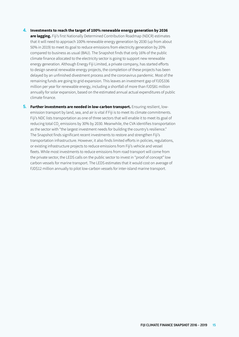#### **4. Investments to reach the target of 100% renewable energy generation by 2036**

**are lagging.** Fiji's first Nationally Determined Contribution Roadmap (NDCR) estimates that it will need to approach 100% renewable energy generation by 2030 (up from about 50% in 2019) to meet its goal to reduce emissions from electricity generation by 20% compared to business as usual (BAU). The Snapshot finds that only 16% of the public climate finance allocated to the electricity sector is going to support new renewable energy generation. Although Energy Fiji Limited, a private company, has started efforts to design several renewable energy projects, the completion of these projects has been delayed by an unfinished divestment process and the coronavirus pandemic. Most of the remaining funds are going to grid expansion. This leaves an investment gap of FJD\$336 million per year for renewable energy, including a shortfall of more than FJD\$81 million annually for solar expansion, based on the estimated annual actual expenditures of public climate finance.

**5. Further investments are needed in low-carbon transport.** Ensuring resilient, lowemission transport by land, sea, and air is vital if Fiji is to meet its climate commitments. Fiji's NDC lists transportation as one of three sectors that will enable it to meet its goal of reducing total CO<sub>2</sub> emissions by 30% by 2030. Meanwhile, the CVA identifies transportation as the sector with "the largest investment needs for building the country's resilience." The Snapshot finds significant recent investments to restore and strengthen Fiji's transportation infrastructure. However, it also finds limited efforts in policies, regulations, or existing infrastructure projects to reduce emissions from Fiji's vehicle and vessel fleets. While most investments to reduce emissions from road transport will come from the private sector, the LEDS calls on the public sector to invest in "proof of concept" low carbon vessels for marine transport. The LEDS estimates that it would cost on average of FJD\$12 million annually to pilot low-carbon vessels for inter-island marine transport.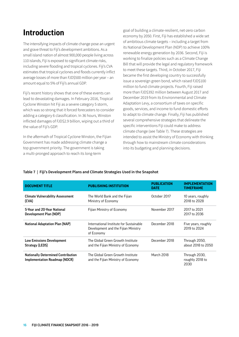## <span id="page-15-0"></span>**Introduction**

The intensifying impacts of climate change pose an urgent and grave threat to Fiji's development ambitions. As a small island nation of almost 900,000 people living across 110 islands, Fiji is exposed to significant climate risks, including severe flooding and tropical cyclones. Fiji's CVA estimates that tropical cyclones and floods currently inflict average losses of more than FJD\$500 million per year – an amount equal to 5% of Fiji's annual GDP.

Fiji's recent history shows that one of these events can lead to devastating damages. In February 2016, Tropical Cyclone Winston hit Fiji as a severe category 5 storm, which was so strong that it forced forecasters to consider adding a category 6 classification. In 36 hours, Winston inflicted damages of FJD\$2.9 billion, wiping out a third of the value of Fiji's GDP.

In the aftermath of Tropical Cyclone Winston, the Fijian Government has made addressing climate change a top government priority. The government is taking a multi-pronged approach to reach its long-term

goal of building a climate-resilient, net-zero carbon economy by 2050. First, Fiji has established a wide set of ambitious climate targets – including a target from its National Development Plan (NDP) to achieve 100% renewable energy generation by 2036. Second, Fiji is working to finalize policies such as a Climate Change Bill that will provide the legal and regulatory framework to meet these targets. Third, in October 2017, Fiji became the first developing country to successfully issue a sovereign green bond, which raised FJD\$100 million to fund climate projects. Fourth, Fiji raised more than FJD\$392 million between August 2017 and December 2019 from its Environmental and Climate Adaptation Levy, a consortium of taxes on specific goods, services, and income to fund domestic efforts to adapt to climate change. Finally, Fiji has published several comprehensive strategies that delineate the specific interventions Fiji could make to address climate change (see Table 7). These strategies are intended to assist the Ministry of Economy with thinking through how to mainstream climate considerations into its budgeting and planning decisions.

## **Table 7 | Fiji's Development Plans and Climate Strategies Used in the Snapshot**

| <b>DOCUMENT TITLE</b>                                                      | <b>PUBLISHING INSTITUTION</b>                                                                | <b>PUBLICATION</b><br><b>DATE</b> | <b>IMPLEMENTATION</b><br><b>TIMEFRAME</b> |
|----------------------------------------------------------------------------|----------------------------------------------------------------------------------------------|-----------------------------------|-------------------------------------------|
| <b>Climate Vulnerability Assessment</b><br>(CVA)                           | The World Bank and the Fijian<br>Ministry of Economy                                         | October 2017                      | 10 years, roughly<br>2018 to 2028         |
| 5-Year and 20-Year National<br>Development Plan (NDP)                      | Fijian Ministry of Economy                                                                   | November 2017                     | 2017 to 2021<br>2017 to 2036              |
| <b>National Adaptation Plan (NAP)</b>                                      | International Institute for Sustainable<br>Development and the Fijian Ministry<br>of Economy | December 2018                     | Five years, roughly<br>2019 to 2024       |
| <b>Low Emissions Development</b><br>Strategy (LEDS)                        | The Global Green Growth Institute<br>and the Fijian Ministry of Economy                      | December 2018                     | Through 2050,<br>about 2018 to 2050       |
| <b>Nationally Determined Contribution</b><br>Implementation Roadmap (NDCR) | The Global Green Growth Institute<br>and the Fijian Ministry of Economy                      | March 2018                        | Through 2030,<br>roughly 2018 to<br>2030  |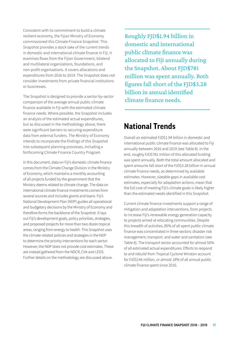<span id="page-16-0"></span>Consistent with its commitment to build a climate resilient economy, the Fijian Ministry of Economy commissioned this Climate Finance Snapshot. This Snapshot provides a stock take of the current trends in domestic and international climate finance in Fiji. It examines flows from the Fijian Government, bilateral and multilateral organizations, foundations, and non-profit organizations. It covers allocations and expenditures from 2016 to 2019. The Snapshot does not consider investments from private financial institutions or businesses.

The Snapshot is designed to provide a sector-by-sector comparison of the average annual public climate finance available in Fiji with the estimated climate finance needs. Where possible, the Snapshot includes an analysis of the estimated actual expenditures, but as discussed in the methodology above, there were significant barriers to securing expenditure data from external funders. The Ministry of Economy intends to incorporate the findings of this Snapshot into subsequent planning processes, including a forthcoming Climate Finance Country Program.

In this document, data on Fiji's domestic climate finance comes from the Climate Change Division in the Ministry of Economy, which maintains a monthly accounting of all projects funded by the government that the Ministry deems related to climate change. The data on international climate finance investments comes from several sources and includes grants and loans. Fiji's National Development Plan (NDP) guides all operational and budgetary decisions by the Ministry of Economy and therefore forms the backbone of the Snapshot. It lays out Fiji's development goals, policy priorities, strategies, and proposed projects for more than two dozen topical areas, ranging from energy to health. This Snapshot uses the climate-related policies and strategies in the NDP to determine the priority interventions for each sector. However, the NDP does not provide cost estimates. These are instead gathered from the NDCR, CVA and LEDS. Further details on the methodology are discussed above.

Roughly FJD\$1.94 billion in domestic and international public climate finance was allocated to Fiji annually during the Snapshot. About FJD\$781 million was spent annually. Both figures fall short of the FJD\$3.28 billion in annual identified climate finance needs.

## **National Trends**

Overall an estimated FJD\$1.94 billion in domestic and international public climate finance was allocated to Fiji annually between 2016 and 2019 (see Table 8). In the end, roughly FJD\$781 million of this allocated funding was spent annually. Both the total amount allocated and spent amounts fall short of the FJD\$3.28 billion in annual climate finance needs, as determined by available estimates. However, sizeable gaps in available cost estimates, especially for adaptation actions, mean that the full cost of meeting Fiji's climate goals is likely higher than the estimated needs identified in this Snapshot.

Current climate finance investments support a range of mitigation and adaptation interventions, from projects to increase Fiji's renewable energy generation capacity to projects aimed at relocating communities. Despite this breadth of activities, 85% of all spent public climate finance was concentrated in three sectors: disaster risk management, transport, and water and sanitation (see Table 8). The transport sector accounted for almost 50% of all estimated actual expenditures. Efforts to respond to and rebuild from Tropical Cyclone Winston account for FJD\$144 million, or almost 18% of all annual public climate finance spent since 2016.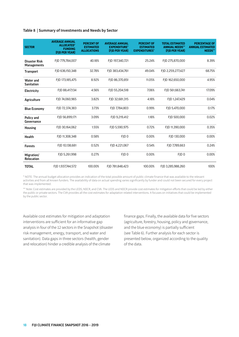#### **Table 8 | Summary of Investments and Needs by Sector**

| <b>SECTOR</b>                              | <b>AVERAGE ANNUAL</b><br><b>ALLOCATED*</b><br><b>FUNDING</b><br>(FJD PER YEAR) | <b>PERCENT OF</b><br><b>ESTIMATED</b><br><b>ALLOCATIONS</b> | <b>AVERAGE ANNUAL</b><br><b>EXPENDITURE*</b><br>(FJD PER YEAR) | <b>PERCENT OF</b><br><b>ESTIMATED</b><br><b>EXPENDITURES*</b> | <b>TOTAL ESTIMATED</b><br><b>ANNUAL NEEDS**</b><br>(FID PER YEAR) | <b>PERCENTAGE OF</b><br><b>ANNUAL ESTIMATED</b><br>NEEDS** |
|--------------------------------------------|--------------------------------------------------------------------------------|-------------------------------------------------------------|----------------------------------------------------------------|---------------------------------------------------------------|-------------------------------------------------------------------|------------------------------------------------------------|
| <b>Disaster Risk</b><br><b>Managements</b> | FJD 779,784,007                                                                | 40.18%                                                      | FJD 197,340,721                                                | 25.24%                                                        | FID 275.870.000                                                   | 8.39%                                                      |
| <b>Transport</b>                           | FJD 636,150,348                                                                | 32.78%                                                      | FJD 383,434,761                                                | 49.04%                                                        | FJD 2,259,277,427                                                 | 68.75%                                                     |
| <b>Water and</b><br><b>Sanitation</b>      | FJD 173,185,475                                                                | 8.92%                                                       | FJD 86,370,851                                                 | 11.05%                                                        | FJD 162,650,000                                                   | 4.95%                                                      |
| Electricity                                | FID 88.417.134                                                                 | 4.56%                                                       | FJD 55,204,518                                                 | 7.06%                                                         | FJD 561,663,741                                                   | 17.09%                                                     |
| Agriculture                                | FID 74.060.965                                                                 | 3.82%                                                       | FJD 32,681,315                                                 | 4.18%                                                         | FJD 1,247,429                                                     | 0.04%                                                      |
| <b>Blue Economy</b>                        | FID 72.374.383                                                                 | 3.73%                                                       | FID 7.784.803                                                  | 0.99%                                                         | FID 5.470.000                                                     | 0.17%                                                      |
| Policy and<br>Governance                   | FJD 56,899,171                                                                 | 3.09%                                                       | FID 9.219.412                                                  | 1.18%                                                         | FID 500.000                                                       | 0.02%                                                      |
| <b>Housing</b>                             | FJD 30,164,062                                                                 | 1.55%                                                       | FJD 5,590,975                                                  | 0.72%                                                         | FJD 11,390,000                                                    | 0.35%                                                      |
| Health                                     | FJD 11,308,348                                                                 | 0.58%                                                       | FJD <sub>0</sub>                                               | 0.00%                                                         | FJD 130,000                                                       | 0.00%                                                      |
| <b>Forests</b>                             | FJD 10,138,681                                                                 | 0.52%                                                       | FJD 4,221,067                                                  | 0.54%                                                         | FJD 7,789,663                                                     | 0.24%                                                      |
| Migration/<br><b>Relocation</b>            | FJD 5,261,998                                                                  | 0.27%                                                       | FJD <sub>0</sub>                                               | 0.00%                                                         | FID <sub>0</sub>                                                  | 0.00%                                                      |
| <b>TOTAL</b>                               | FID 1.937.744.572                                                              | 100.00%                                                     | FID 781.848.423                                                | 100.00%                                                       | FID 3.285.988.260                                                 | 100%                                                       |

\* NOTE: The annual budget allocation provides an indication of the total possible amount of public climate finance that was available to the relevant activities and from all known funders. The availability of data on actual spending varies significantly by funder and could not been secured for every project that was implemented.

\*\* Note: Cost estimates are provided by the LEDS, NDCR, and CVA. The LEDS and NDCR provide cost estimates for mitigation efforts that could be led by either the public or private sectors. The CVA provides all the cost estimates for adaptation related interventions. It focuses on initiatives that could be implemented by the public sector.

Available cost estimates for mitigation and adaptation interventions are sufficient for an informative gap analysis in four of the 12 sectors in the Snapshot (disaster risk management, energy, transport, and water and sanitation). Data gaps in three sectors (health, gender and relocation) hinder a credible analysis of the climate

finance gaps. Finally, the available data for five sectors (agriculture, forestry, housing, policy and governance, and the blue economy) is partially sufficient (see Table 6). Further analysis for each sector is presented below, organized according to the quality of the data.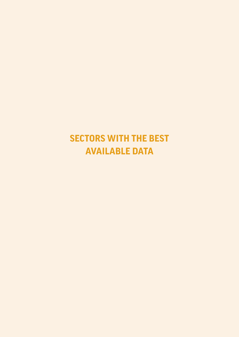## <span id="page-18-0"></span>**SECTORS WITH THE BEST AVAILABLE DATA**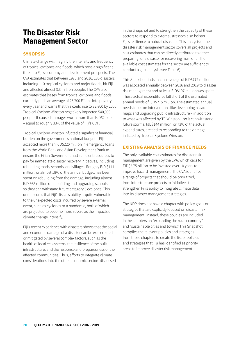## <span id="page-19-0"></span>**The Disaster Risk Management Sector**

## **SYNOPSIS**

Climate change will magnify the intensity and frequency of tropical cyclones and floods, which pose a significant threat to Fiji's economy and development prospects. The CVA estimates that between 1970 and 2016, 130 disasters, including 110 tropical cyclones and major floods, hit Fiji and affected almost 3.3 million people. The CVA also estimates that losses from tropical cyclones and floods currently push an average of 25,700 Fijians into poverty every year and warns that this could rise to 32,800 by 2050. Tropical Cyclone Winston negatively impacted 540,000 people. It caused damages worth more than FJD\$2 billion – equal to roughly 33% of the value of Fiji's GDP.

Tropical Cyclone Winston inflicted a significant financial burden on the government's national budget – Fiji accepted more than FJD\$220 million in emergency loans from the World Bank and Asian Development Bank to ensure the Fijian Government had sufficient resources to pay for immediate disaster recovery initiatives, including rebuilding roads, schools, and villages. Roughly FJD \$144 million, or almost 18% of the annual budget, has been spent on rebuilding from the damage, including almost FJD \$68 million on rebuilding and upgrading schools so they can withstand future category 5 cyclones. This underscores that Fiji's fiscal stability is quite vulnerable to the unexpected costs incurred by severe external event, such as cyclones or a pandemic, both of which are projected to become more severe as the impacts of climate change intensify.

Fiji's recent experience with disasters shows that the social and economic damage of a disaster can be exacerbated or mitigated by several complex factors, such as the health of local ecosystems, the resilience of the built infrastructure, and the response and preparedness of the affected communities. Thus, efforts to integrate climate considerations into the other economic sectors discussed

in the Snapshot and to strengthen the capacity of these sectors to respond to external stressors also bolster Fiji's resilience to natural disasters. This analysis of the disaster risk management sector covers all projects and cost estimates that can be directly attributed to either preparing for a disaster or recovering from one. The available cost estimates for the sector are sufficient to conduct a gap analysis (see Table 6).

This Snapshot finds that an average of FJD\$779 million was allocated annually between 2016 and 2019 to disaster risk management and at least FJD\$197 million was spent. These actual expenditures fall short of the estimated annual needs of FJD\$275 million. The estimated annual needs focus on interventions like developing hazard maps and upgrading public infrastructure – in addition to what was affected by TC Winston – so it can withstand future storms. FJD\$144 million, or 73% of the actual expenditures, are tied to responding to the damage inflicted by Tropical Cyclone Winston.

## **EXISTING ANALYSIS OF FINANCE NEEDS**

The only available cost estimates for disaster risk management are given by the CVA, which calls for FJD\$2.75 billion to be invested over 10 years to improve hazard management. The CVA identifies a range of projects that should be prioritized, from infrastructure projects to initiatives that strengthen Fiji's ability to integrate climate data into its disaster management strategies.

The NDP does not have a chapter with policy goals or strategies that are explicitly focused on disaster risk management. Instead, these policies are included in the chapters on "expanding the rural economy" and "sustainable cities and towns." This Snapshot compiles the relevant policies and strategies from those chapters to create the list of policies and strategies that Fiji has identified as priority areas to improve disaster risk management.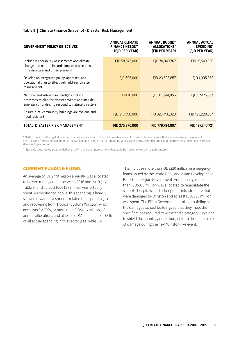#### **Table 9 | Climate Finance Snapshot - Disaster Risk Management**

| <b>GOVERNMENT POLICY OBJECTIVES</b>                                                                                                                | <b>ANNUAL CLIMATE</b><br><b>FINANCE NEEDS**</b><br>(FJD PER YEAR) | <b>ANNUAL BUDGET</b><br>ALLOCATIONS*<br>(FJD PER YEAR) | <b>ANNUAL ACTUAL</b><br><b>SPENDING</b> *<br>(FJD PER YEAR) |
|----------------------------------------------------------------------------------------------------------------------------------------------------|-------------------------------------------------------------------|--------------------------------------------------------|-------------------------------------------------------------|
| Include vulnerability assessments and climate<br>change and natural hazards impact projections in<br>infrastructure and urban planning             | FJD 58,575,000                                                    | FJD 70,049,767                                         | FJD 15,549,320                                              |
| Develop an integrated policy, approach, and<br>operational plan to effectively address disaster<br>management                                      | FJD 695,000                                                       | FJD 23,623,857                                         | FJD 1,095,053                                               |
| National and subnational budgets include<br>processes to plan for disaster events and include<br>emergency funding to respond to natural disasters | FJD 10,000                                                        | FJD 362,614,055                                        | FJD 57,475,994                                              |
| Ensure rural community buildings are cyclone and<br>flood resistant                                                                                | FJD 216,590,000                                                   | FJD 323,496,328                                        | FJD 123,220,354                                             |
| TOTAL: DISASTER RISK MANAGEMENT                                                                                                                    | FJD 275,870,000                                                   | FJD 779,784,007                                        | FID 197.340.721                                             |

\* NOTE: The annual budget allocation provides an indication of the total possible amount of public climate finance that was available to the relevant activities and from all known funders. The availability of data on actual spending varies significantly by funder and could not been secured for every project that was implemented.

\*\* Note: Cost estimates are provided by the CVA and cover interventions that could be implemented by the public sector.

### **CURRENT FUNDING FLOWS**

An average of FJD\$779 million annually was allocated to hazard management between 2016 and 2019 (see Table 9) and at least FJD\$197 million was actually spent. As mentioned above, this spending is heavily skewed toward investments related to responding to and recovering from Tropical Cyclone Winston, which accounts for 79%, or more than FJD\$616 million, of annual allocations and at least FJD\$144 million, or 73% of all actual spending in this sector (see Table 10).

This includes more than FJD\$220 million in emergency loans issued by the World Bank and Asian Development Bank to the Fijian Government. Additionally, more than FJD\$323 million was allocated to rehabilitate the schools, hospitals, and other public infrastructure that were damaged by Winston and at least FJD\$123 million was spent. The Fijian Government is also rebuilding all the damaged school buildings so that they meet the specifications required to withstand a category 5 cyclone to shield the country and its budget from the same scale of damage during the next Winston-like event.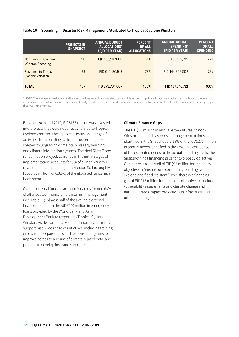#### **Table 10 | Spending in Disaster Risk Management Attributed to Tropical Cyclone Winston**

|                                                       | <b>PROJECTS IN</b><br><b>SNAPSHOT</b> | <b>ANNUAL BUDGET</b><br>ALLOCATIONS*<br>(FJD PER YEAR) | <b>PERCENT</b><br><b>OF ALL</b><br><b>ALLOCATIONS</b> | <b>ANNUAL ACTUAL</b><br><b>SPENDING*</b><br>(FJD PER YEAR) | <b>PERCENT</b><br><b>OF ALL</b><br><b>SPENDING</b> |
|-------------------------------------------------------|---------------------------------------|--------------------------------------------------------|-------------------------------------------------------|------------------------------------------------------------|----------------------------------------------------|
| Non Tropical Cyclone<br><b>Winston Spending</b>       | 98                                    | FJD 163,587,088                                        | 21%                                                   | FJD 53,132,219                                             | 27%                                                |
| <b>Response to Tropical</b><br><b>Cyclone Winston</b> | 39                                    | FJD 616,196,919                                        | 79%                                                   | FJD 144,208,502                                            | 73%                                                |
| <b>TOTAL</b>                                          | 137                                   | FJD 779,784,007                                        | 100%                                                  | FJD 197,340,721                                            | 100%                                               |

\* NOTE: The average annual amount allocated provides an indication of the total possible amount of public climate finance that was available to the relevant activities and from all known funders. The availability of data on actual expenditures varies significantly by funder and could not been secured for every project that was implemented.

Between 2016 and 2019, FJD\$163 million was invested into projects that were not directly related to Tropical Cyclone Winston. These projects focus on a range of activities, from building cyclone-proof emergency shelters to upgrading or maintaining early warning and climate information systems. The Nadi River Flood rehabilitation project, currently in the initial stages of implementation, accounts for 9% of all non-Winston related planned spending in the sector. So far, roughly FJD\$0.63 million, or 0.32%, of the allocated funds have been spent.

Overall, external funders account for an estimated 68% of all allocated finance on disaster risk management (see Table 11). Almost half of the available external finance stems from the FJD\$220 million in emergency loans provided by the World Bank and Asian Development Bank to respond to Tropical Cyclone Winston. Aside from this, external donors are currently supporting a wide range of initiatives, including training on disaster preparedness and response, programs to improve access to and use of climate-related data, and projects to develop insurance products.

#### **Climate Finance Gaps**

The FJD\$53 million in annual expenditures on non-Winston-related disaster risk management actions identified in the Snapshot are 19% of the FJD\$275 million in annual needs identified in the CVA. In a comparison of the estimated needs to the actual spending levels, the Snapshot finds financing gaps for two policy objectives. One, there is a shortfall of FJD\$93 million for the policy objective to "ensure rural community buildings are cyclone and flood resistant." Two, there is a financing gap of FJD\$43 million for the policy objective to "include vulnerability assessments and climate change and natural hazards impact projections in infrastructure and urban planning."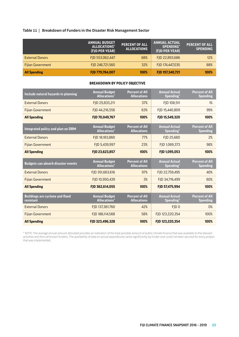## **Table 11 | Breakdown of Funders in the Disaster Risk Management Sector**

|                          | <b>ANNUAL BUDGET</b><br>ALLOCATIONS*<br>(FJD PER YEAR) | <b>PERCENT OF ALL</b><br>ALLOCATIONS | <b>ANNUAL ACTUAL</b><br><b>SPENDING*</b><br>(FJD PER YEAR) | <b>PERCENT OF ALL</b><br><b>SPENDING</b> |
|--------------------------|--------------------------------------------------------|--------------------------------------|------------------------------------------------------------|------------------------------------------|
| <b>External Donors</b>   | FJD 553,062,447                                        | 68%                                  | FJD 22,893,686                                             | 12%                                      |
| <b>Fijian Government</b> | FJD 246,721,560                                        | 32%                                  | FJD 174,447,035                                            | 88%                                      |
| <b>All Spending</b>      | FJD 779,784,007                                        | 100%                                 | FJD 197,340,721                                            | 100%                                     |

#### **BREAKDOWN BY POLICY OBJECTIVE**

| Include natural hazards in planning                 | <b>Annual Budget</b><br><b>Allocations*</b>  | <b>Percent of All</b><br><b>Allocations</b> | <b>Annual Actual</b><br>Spending*             | <b>Percent of All</b><br><b>Spending</b> |
|-----------------------------------------------------|----------------------------------------------|---------------------------------------------|-----------------------------------------------|------------------------------------------|
| <b>External Donors</b>                              | FJD 25,833,211                               | 37%                                         | FID 108.511                                   | 1%                                       |
| <b>Fijian Government</b>                            | FID 44.216.556                               | 63%                                         | FJD 15,440,809                                | 99%                                      |
| <b>All Spending</b>                                 | FJD 70,049,767                               | 100%                                        | FJD 15,549,320                                | 100%                                     |
| Integrated policy and plan on DRM                   | <b>Annual Budget</b><br><b>Allocations</b> * | <b>Percent of All</b><br><b>Allocations</b> | <b>Annual Actual</b><br>Spending*             | <b>Percent of All</b><br><b>Spending</b> |
| <b>External Donors</b>                              | FJD 18,183,860                               | 77%                                         | FJD 25,680                                    | 2%                                       |
| <b>Fijian Government</b>                            | FID 5.439.997                                | 23%                                         | FJD 1,069,373                                 | 98%                                      |
| <b>All Spending</b>                                 | FJD 23,623,857                               | 100%                                        | FJD 1,095,053                                 | 100%                                     |
| <b>Budgets can absorb disaster events</b>           | <b>Annual Budget</b><br><b>Allocations*</b>  | <b>Percent of All</b><br><b>Allocations</b> | <b>Annual Actual</b><br>Spending <sup>*</sup> | <b>Percent of All</b><br><b>Spending</b> |
| <b>External Donors</b>                              | FJD 351,663,616                              | 97%                                         | FJD 22,759,495                                | 40%                                      |
| <b>Fijian Government</b>                            | FJD 10,950,439                               | 3%                                          | FJD 34,716,499                                | 60%                                      |
| <b>All Spending</b>                                 | FJD 362,614,055                              | 100%                                        | FJD 57,475,994                                | 100%                                     |
| <b>Buildings are cyclone and flood</b><br>resistant | <b>Annual Budget</b><br><b>Allocations</b> * | <b>Percent of All</b><br><b>Allocations</b> | <b>Annual Actual</b><br>Spending*             | <b>Percent of All</b><br><b>Spending</b> |
| <b>External Donors</b>                              | FJD 137,381,760                              | 42%                                         | FJD <sub>0</sub>                              | 0%                                       |
| <b>Fijian Government</b>                            | FJD 186,114,568                              | 58%                                         | FJD 123,220,354                               | 100%                                     |
|                                                     |                                              |                                             |                                               |                                          |

\* NOTE: The average annual amount allocated provides an indication of the total possible amount of public climate finance that was available to the relevant activities and from all known funders. The availability of data on actual expenditures varies significantly by funder and could not been secured for every project that was implemented.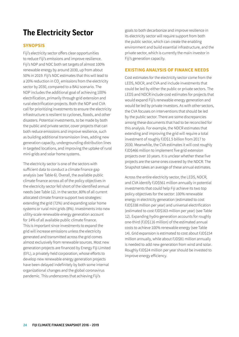## <span id="page-23-0"></span>**The Electricity Sector**

## **SYNOPSIS**

Fiji's electricity sector offers clear opportunities to reduce Fiji's emissions and improve resilience. Fiji's NDP and NDC both set targets of almost 100% renewable energy by around 2030, up from about 50% in 2019. Fiji's NDC estimates that this will lead to a 20% reduction in CO<sub>2</sub> emissions from the electricity sector by 2030, compared to a BAU scenario. The NDP includes the additional goal of achieving 100% electrification, primarily through grid extension and rural electrification projects. Both the NDP and CVA call for prioritizing investments to ensure the electricity infrastructure is resilient to cyclones, floods, and other disasters. Potential investments, to be made by both the public and private sector, cover projects that can both reduce emissions and improve resilience, such as building additional transmission lines, adding new generation capacity, undergrounding distribution lines in targeted locations, and improving the uptake of rural mini-grids and solar home systems.

The electricity sector is one of the sectors with sufficient data to conduct a climate finance gap analysis (see Table 6). Overall, the available public climate finance across all of the policy objectives in the electricity sector fell short of the identified annual needs (see Table 12). In the sector, 80% of all current allocated climate finance support two strategies: extending the grid (72%) and expanding solar home systems or rural mini grids (8%). Investments into new utility-scale renewable energy generation account for 14% of all available public climate finance. This is important since investments to expand the grid will increase emissions unless the electricity generated and transmitted across the grid comes almost exclusively from renewable sources. Most new generation projects are financed by Energy Fiji Limited (EFL), a privately held corporation, whose efforts to develop new renewable energy generation projects have been delayed indefinitely by both some internal organizational changes and the global coronavirus pandemic. This underscores that achieving Fiji's

goals to both decarbonize and improve resilience in its electricity sector will require support from both the public sector, which can create the enabling environment and build essential infrastructure, and the private sector, which is currently the main investor in Fiji's generation capacity.

## **EXISTING ANALYSIS OF FINANCE NEEDS**

Cost estimates for the electricity sector come from the LEDS, NDCR, and CVA and include investments that could be led by either the public or private sectors. The LEDS and NDCR include cost estimates for projects that would expand Fiji's renewable energy generation and would be led by private investors. As with other sectors, the CVA focuses on interventions that should be led by the public sector. There are some discrepancies among these documents that had to be reconciled for this analysis. For example, the NDCR estimates that extending and improving the grid will require a total investment of roughly FJD\$1.5 billion from 2017 to 2030. Meanwhile, the CVA estimates it will cost roughly FJD\$466 million to implement five grid extension projects over 10 years. It is unclear whether these five projects are the same ones covered by the NDCR. The Snapshot takes an average of these annual estimates.

Across the entire electricity sector, the LEDS, NDCR, and CVA identify FJD\$561 million annually in potential investments that could help Fiji achieve its two top policy objectives for the sector: 100% renewable energy in electricity generation (estimated to cost FJD\$338 million per year) and universal electrification (estimated to cost FJD\$163 million per year) (see Table 12). Expanding hydro generation accounts for roughly one-third (FJD\$116 million) of the estimated annual costs to achieve 100% renewable energy (see Table 14). Grid expansion is estimated to cost about FJD\$154 million annually, while about FJD\$81 million annually is needed to add new generation from wind and solar. Roughly FJD\$24 million per year should be invested to improve energy efficiency.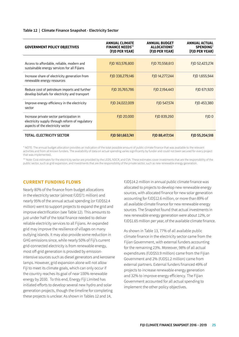#### **Table 12 | Climate Finance Snapshot - Electricity Sector**

| <b>GOVERNMENT POLICY OBJECTIVES</b>                                                                                              | <b>ANNUAL CLIMATE</b><br><b>FINANCE NEEDS**</b><br>(FJD PER YEAR) | <b>ANNUAL BUDGET</b><br>ALLOCATIONS*<br>(FJD PER YEAR) | <b>ANNUAL ACTUAL</b><br><b>SPENDING*</b><br>(FJD PER YEAR) |
|----------------------------------------------------------------------------------------------------------------------------------|-------------------------------------------------------------------|--------------------------------------------------------|------------------------------------------------------------|
|                                                                                                                                  |                                                                   |                                                        |                                                            |
| Access to affordable, reliable, modern and<br>sustainable energy services for all Fijians                                        | FJD 163,576,800                                                   | FJD 70,558,613                                         | FJD 52,423,274                                             |
| Increase share of electricity generation from<br>renewable energy resources                                                      | FJD 338,279,146                                                   | FJD 14,277,244                                         | FJD 1,655,944                                              |
| Reduce cost of petroleum imports and further<br>develop biofuels for electricity and transport                                   | FJD 35,765,786                                                    | FJD 2,194,443                                          | FJD 671,920                                                |
| Improve energy efficiency in the electricity<br>sector                                                                           | FJD 24,022,009                                                    | FJD 547,574                                            | FJD 453,380                                                |
| Increase private sector participation in<br>electricity supply through reform of regulatory<br>aspects of the electricity sector | FJD 20,000                                                        | FJD 839,260                                            | FJD <sub>0</sub>                                           |
| <b>TOTAL: ELECTRICITY SECTOR</b>                                                                                                 | FJD 561,663,741                                                   | FJD 88,417,134                                         | FJD 55,204,518                                             |

\* NOTE: The annual budget allocation provides an indication of the total possible amount of public climate finance that was available to the relevant activities and from all known funders. The availability of data on actual spending varies significantly by funder and could not been secured for every project that was implemented.

\*\* Note: Cost estimates for the electricity sector are provided by the LEDS, NDCR, and CVA. These estimates cover investments that are the responsibility of the public sector, such as grid expansion, and investments that are the responsibility of the private sector, such as new renewable energy generation.

### **CURRENT FUNDING FLOWS**

Nearly 80% of the finance from budget allocations in the electricity sector (almost FJD\$71 million) and nearly 95% of the annual actual spending (or FJD\$52.4 million) went to support projects to expand the grid and improve electrification (see Table 12). This amounts to just under half of the total finance needed to deliver reliable electricity services to all Fijians. An expanded grid may improve the resilience of villages on many outlying islands. It may also provide some reduction in GHG emissions since, while nearly 50% of Fiji's current grid-connected electricity is from renewable energy, most off-grid generation is provided by emissionintensive sources such as diesel generators and kerosene lamps. However, grid expansion alone will not allow Fiji to meet its climate goals, which can only occur if the country reaches its goal of near 100% renewable energy by 2030. To this end, Energy Fiji Limited has initiated efforts to develop several new hydro and solar generation projects, though the timeline for completing these projects is unclear. As shown in Tables 12 and 14,

FJD\$14.2 million in annual public climate finance was allocated to projects to develop new renewable energy sources, with allocated finance for new solar generation accounting for FJD\$12.6 million, or more than 89% of all available climate finance for new renewable energy sources. The Snapshot found that actual investments in new renewable energy generation were about 12%, or FJD\$1.65 million per year, of the available climate finance.

As shown in Table 13, 77% of all available public climate finance in the electricity sector came from the Fijian Government, with external funders accounting for the remaining 23%. Moreover, 98% of all actual expenditures (FJD\$53.9 million) came from the Fijian Government and 2% (FJD\$1.2 million) came from external partners. External funders financed 49% of projects to increase renewable energy generation and 32% to improve energy efficiency. The Fijian Government accounted for all actual spending to implement the other policy objectives.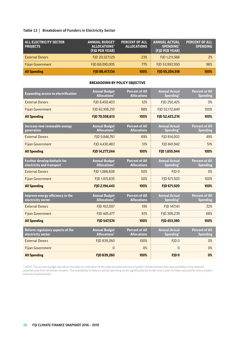## **Table 13 | Breakdown of Funders in Electricity Sector**

| <b>ALL ELECTRICITY SECTOR</b><br><b>PROJECTS</b> | <b>ANNUAL BUDGET</b><br>ALLOCATIONS*<br>(FJD PER YEAR) | <b>PERCENT OF ALL</b><br><b>ALLOCATIONS</b> | <b>ANNUAL ACTUAL</b><br><b>SPENDING*</b><br>(FJD PER YEAR) | <b>PERCENT OF ALL</b><br><b>SPENDING</b> |
|--------------------------------------------------|--------------------------------------------------------|---------------------------------------------|------------------------------------------------------------|------------------------------------------|
| <b>External Donors</b>                           | FJD 20,327,129                                         | 23%                                         | FJD 1,211,568                                              | 2%                                       |
| <b>Fijian Government</b>                         | FJD 68,090,005                                         | 77%                                         | FID 53.992.950                                             | 98%                                      |
| <b>All Spending</b>                              | FJD 88,417,134                                         | 100%                                        | FJD 55,204,518                                             | 100%                                     |

### **BREAKDOWN BY POLICY OBJECTIVE**

| <b>Expanding access to electrification</b>                       | <b>Annual Budget</b><br><b>Allocations</b> *            | <b>Percent of All</b><br><b>Allocations</b> | <b>Annual Actual</b><br>Spending*             | <b>Percent of All</b><br><b>Spending</b> |
|------------------------------------------------------------------|---------------------------------------------------------|---------------------------------------------|-----------------------------------------------|------------------------------------------|
| <b>External Donors</b>                                           | FJD 8,450,403                                           | 12%                                         | FJD 250,425                                   | 0%                                       |
| <b>Fijian Government</b>                                         | FJD 62,108,210                                          | 88%                                         | FJD 52,172,849                                | 100%                                     |
| <b>All Spending</b>                                              | FJD 70,558,613                                          | 100%                                        | FJD 52,423,274                                | 100%                                     |
| Increase new renewable energy<br>generation                      | <b>Annual Budget</b><br><b>Allocations*</b>             | <b>Percent of All</b><br><b>Allocations</b> | <b>Annual Actual</b><br>Spending <sup>*</sup> | <b>Percent of All</b><br><b>Spending</b> |
| <b>External Donors</b>                                           | FJD 9,846,761                                           | 69%                                         | FJD 814,002                                   | 49%                                      |
| <b>Fijian Government</b>                                         | FJD 4,430,483                                           | 31%                                         | FJD 841,942                                   | 51%                                      |
| <b>All Spending</b>                                              | FJD 14,277,244                                          | 100%                                        | FJD 1,655,944                                 | 100%                                     |
| <b>Further develop biofuels for</b><br>electricity and transport | <b>Annual Budget</b><br><b>Allocations*</b>             | <b>Percent of All</b><br><b>Allocations</b> | <b>Annual Actual</b><br>Spending*             | <b>Percent of All</b><br><b>Spending</b> |
| <b>External Donors</b>                                           | FJD 1,088,608                                           | 50%                                         | FJD <sub>0</sub>                              | 0%                                       |
| <b>Fijian Government</b>                                         | FJD 1,105,835                                           | 50%                                         | FJD 671,920                                   | 100%                                     |
| <b>All Spending</b>                                              | FJD 2,194,443                                           | 100%                                        | FJD 671,920                                   | 100%                                     |
| Improve energy efficiency in the<br>electricity sector           | <b>Annual Budget</b><br><b>Allocations*</b>             | <b>Percent of All</b><br><b>Allocations</b> | <b>Annual Actual</b><br>Spending*             | Percent of All<br><b>Spending</b>        |
| <b>External Donors</b>                                           | FJD 102,097                                             | 19%                                         | FJD 147,141                                   | 32%                                      |
| <b>Fijian Government</b>                                         | FID 445.477                                             | 81%                                         | FJD 306,239                                   | 68%                                      |
| <b>All Spending</b>                                              | FJD 547,574                                             | 100%                                        | FJD 453,380                                   | 100%                                     |
| Reform regulatory aspects of the<br>electricity sector           | <b>Annual Budget</b><br><b>Allocations</b> <sup>*</sup> | <b>Percent of All</b><br><b>Allocations</b> | <b>Annual Actual</b><br>Spending <sup>*</sup> | <b>Percent of All</b><br><b>Spending</b> |
| <b>External Donors</b>                                           | FJD 839,260                                             | 100%                                        | FJD <sub>0</sub>                              | 0%                                       |
| <b>Fijian Government</b>                                         | $\overline{0}$                                          | 0%                                          | $\mathbf 0$                                   | 0%                                       |
| <b>All Spending</b>                                              | FJD 839,260                                             | 100%                                        | FJD <sub>0</sub>                              | 0%                                       |

\* NOTE: The annual budget allocation provides an indication of the total possible amount of public climate finance that was available to the relevant activities and from all known funders. The availability of data on actual spending varies significantly by funder and could not been secured for every project that was implemented.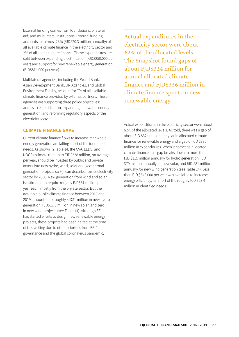External funding comes from foundations, bilateral aid, and multilateral institutions. External funding accounts for almost 23% (FJD\$20.3 million annually) of all available climate finance in the electricity sector and 2% of all spent climate finance. These expenditures are split between expanding electrification (FJD\$250,000 per year) and support for new renewable energy generation (FJD\$814,000 per year).

Multilateral agencies, including the World Bank, Asian Development Bank, UN Agencies, and Global Environment Facility, account for 7% of all available climate finance provided by external partners. These agencies are supporting three policy objectives: access to electrification, expanding renewable energy generation, and reforming regulatory aspects of the electricity sector.

## **CLIMATE FINANCE GAPS**

Current climate finance flows to increase renewable energy generation are falling short of the identified needs. As shown in Table 14, the CVA, LEDS, and NDCR estimate that up to FJD\$338 million, on average per year, should be invested by public and private actors into new hydro, wind, solar and geothermal generation projects so Fiji can decarbonize its electricity sector by 2050. New generation from wind and solar is estimated to require roughly FJD\$81 million per year each, mostly from the private sector. But the available public climate finance between 2016 and 2019 amounted to roughly FJD\$1 million in new hydro generation, FJD\$12.6 million in new solar, and zero in new wind projects (see Table 14). Although EFL has started efforts to design new renewable energy projects, these projects had been halted at the time of this writing due to other priorities from EFL's governance and the global coronavirus pandemic.

Actual expenditures in the electricity sector were about 62% of the allocated levels. The Snapshot found gaps of about FJD\$324 million for annual allocated climate finance and FJD\$336 million in climate finance spent on new renewable energy.

Actual expenditures in the electricity sector were about 62% of the allocated levels. All told, there was a gap of about FJD \$324 million per year in allocated climate finance for renewable energy and a gap of FJD \$336 million in expenditures. When it comes to allocated climate finance, this gap breaks down to more than FJD \$115 million annually for hydro generation, FJD \$70 million annually for new solar, and FJD \$81 million annually for new wind generation (see Table 14). Less than FJD \$548,000 per year was available to increase energy efficiency, far short of the roughly FJD \$23.4 million in identified needs.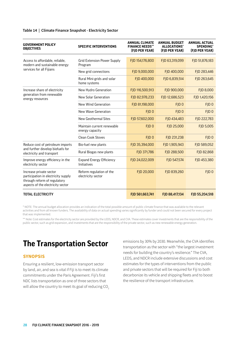| <b>GOVERNMENT POLICY</b><br><b>OBJECTIVES</b>                                                                                       | <b>SPECIFIC INTERVENTIONS</b>                  | <b>ANNUAL CLIMATE</b><br><b>FINANCE NEEDS**</b><br>(FJD PER YEAR) | <b>ANNUAL BUDGET</b><br>ALLOCATIONS*<br>(FJD PER YEAR) | <b>ANNUAL ACTUAL</b><br><b>SPENDING*</b><br>(FJD PER YEAR) |
|-------------------------------------------------------------------------------------------------------------------------------------|------------------------------------------------|-------------------------------------------------------------------|--------------------------------------------------------|------------------------------------------------------------|
| Access to affordable, reliable,<br>modern and sustainable energy                                                                    | <b>Grid Extension Power Supply</b><br>Program  | FJD 154,176,800                                                   | FJD 63,319,099                                         | FJD 51,876,183                                             |
| services for all Fijians                                                                                                            | New grid connections                           | FJD 9,000,000                                                     | FJD 400,000                                            | FJD 283,446                                                |
|                                                                                                                                     | Rural Mini-grids and solar<br>home systems     | FJD 400,000                                                       | FJD 6,839,514                                          | FJD 263,645                                                |
| Increase share of electricity                                                                                                       | New Hydro Generation                           | FJD 116,500,913                                                   | FJD 900,000                                            | FJD 8,000                                                  |
| generation from renewable<br>energy resources                                                                                       | New Solar Generation                           | FJD 82,978,233                                                    | FJD 12,686,523                                         | FJD 1,420,156                                              |
|                                                                                                                                     | New Wind Generation                            | FJD 81,198,000                                                    | FJD <sub>0</sub>                                       | FJD <sub>0</sub>                                           |
|                                                                                                                                     | New Wave Generation                            | FJD <sub>0</sub>                                                  | FJD <sub>0</sub>                                       | FJD <sub>0</sub>                                           |
|                                                                                                                                     | New Geothermal Sites                           | FJD 57,602,000                                                    | FJD 434,483                                            | FJD 222,783                                                |
|                                                                                                                                     | Maintain current renewable<br>energy capacity  | FJD <sub>0</sub>                                                  | FJD 25,000                                             | FJD 5,005                                                  |
|                                                                                                                                     | <b>Clean Cook Stoves</b>                       | FJD <sub>0</sub>                                                  | FJD 231,238                                            | FJD <sub>0</sub>                                           |
| Reduce cost of petroleum imports                                                                                                    | Bio-fuel new plants                            | FJD 35,394,000                                                    | FJD 1,905,943                                          | FJD 589,052                                                |
| and further develop biofuels for<br>electricity and transport                                                                       | Rural Biogas new plants                        | FJD 371,786                                                       | FJD 288,500                                            | FJD 82,868                                                 |
| Improve energy efficiency in the<br>electricity sector                                                                              | <b>Expand Energy Efficiency</b><br>Initiatives | FJD 24,022,009                                                    | FJD 547,574                                            | FJD 453,380                                                |
| Increase private sector<br>participation in electricity supply<br>through reform of regulatory<br>aspects of the electricity sector | Reform regulation of the<br>electricity sector | FJD 20,000                                                        | FJD 839,260                                            | FJD <sub>0</sub>                                           |
| <b>TOTAL ELECTRICITY</b>                                                                                                            |                                                | FJD 561,663,741                                                   | FJD 88,417,134                                         | FJD 55,204,518                                             |

#### <span id="page-27-0"></span>**Table 14 | Climate Finance Snapshot - Electricity Sector**

\* NOTE: The annual budget allocation provides an indication of the total possible amount of public climate finance that was available to the relevant activities and from all known funders. The availability of data on actual spending varies significantly by funder and could not been secured for every project that was implemented.

\*\* Note: Cost estimates for the electricity sector are provided by the LEDS, NDCR, and CVA. These estimates cover investments that are the responsibility of the public sector, such as grid expansion, and investments that are the responsibility of the private sector, such as new renewable energy generation.

## **The Transportation Sector**

### **SYNOPSIS**

Ensuring a resilient, low-emission transport sector by land, air, and sea is vital if Fiji is to meet its climate commitments under the Paris Agreement. Fiji's first NDC lists transportation as one of three sectors that will allow the country to meet its goal of reducing CO<sub>2</sub>

emissions by 30% by 2030. Meanwhile, the CVA identifies transportation as the sector with "the largest investment needs for building the country's resilience." The CVA, LEDS, and NDCR include extensive discussions and cost estimates for the types of interventions from the public and private sectors that will be required for Fiji to both decarbonize its vehicle and shipping fleets and to boost the resilience of the transport infrastructure.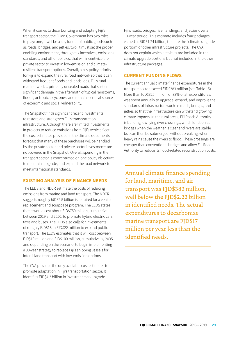When it comes to decarbonizing and adapting Fiji's transport sector, the Fijian Government has two roles to play: one, it will be a key funder of public goods such as roads, bridges, and jetties; two, it must set the proper enabling environment, through tax incentives, emissions standards, and other policies, that will incentivize the private sector to invest in low-emission and climateresilient transport options. Overall, a key policy priority for Fiji is to expand the rural road network so that it can withstand frequent floods and landslides. Fiji's rural road network is primarily unsealed roads that sustain significant damage in the aftermath of typical rainstorms, floods, or tropical cyclones, and remain a critical source of economic and social vulnerability.

The Snapshot finds significant recent investments to restore and strengthen Fiji's transportation infrastructure. Although there are limited investments in projects to reduce emissions from Fiji's vehicle fleet, the cost estimates provided in the climate documents forecast that many of these purchases will be handled by the private sector and private sector investments are not covered in the Snapshot. Overall, spending in the transport sector is concentrated on one policy objective: to maintain, upgrade, and expand the road network to meet international standards.

## **EXISTING ANALYSIS OF FINANCE NEEDS**

The LEDS and NDCR estimate the costs of reducing emissions from marine and land transport. The NDCR suggests roughly FJD\$2.5 billion is required for a vehicle replacement and scrappage program. The LEDS states that it would cost about FJD\$750 million, cumulative between 2019 and 2050, to promote hybrid electric cars, taxis and buses. The LEDS also calls for investments of roughly FJD\$18 to FJD\$22 million to expand public transport. The LEDS estimates that it will cost between FJD\$10 million and FJD\$100 million, cumulative by 2035 and depending on the scenario, to begin implementing a 30-year strategy to replace Fiji's shipping vessels for inter-island transport with low-emission options.

The CVA provides the only available cost estimates to promote adaptation in Fiji's transportation sector. It identifies FJD\$4.3 billion in investments to upgrade

Fiji's roads, bridges, river landings, and jetties over a 10-year period. This estimate includes four packages, valued at FJD\$1.24 billion, that are the "climate upgrade portion" of other infrastructure projects. The CVA does not explain which activities are included in the climate upgrade portions but not included in the other infrastructure packages.

## **CURRENT FUNDING FLOWS**

The current annual climate finance expenditures in the transport sector exceed FJD\$383 million (see Table 15). More than FJD\$320 million, or 83% of all expenditures, was spent annually to upgrade, expand, and improve the standards of infrastructure such as roads, bridges, and jetties so that the infrastructure can withstand growing climate impacts. In the rural areas, Fiji Roads Authority is building low-lying river crossings, which function as bridges when the weather is clear and rivers are stable but can then be submerged, without breaking, when heavy rains cause the rivers to flood. These crossings are cheaper than conventional bridges and allow Fiji Roads Authority to reduce its flood-related reconstruction costs.

Annual climate finance spending for land, maritime, and air transport was FJD\$383 million, well below the FJD\$2.23 billion in identified needs. The actual expenditures to decarbonize marine transport are FJD\$17 million per year less than the identified needs.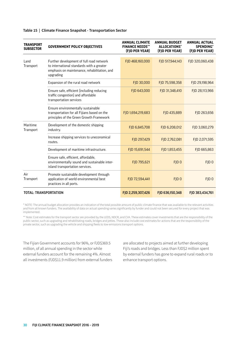| <b>TRANSPORT</b><br><b>SUBSECTOR</b> | <b>GOVERNMENT POLICY OBJECTIVES</b>                                                                                                                | <b>ANNUAL CLIMATE</b><br><b>FINANCE NEEDS**</b><br>(FJD PER YEAR) | <b>ANNUAL BUDGET</b><br>ALLOCATIONS*<br>(FJD PER YEAR) | <b>ANNUAL ACTUAL</b><br><b>SPENDING*</b><br>(FJD PER YEAR) |
|--------------------------------------|----------------------------------------------------------------------------------------------------------------------------------------------------|-------------------------------------------------------------------|--------------------------------------------------------|------------------------------------------------------------|
| Land<br>Transport                    | Further development of full road network<br>to international standards with a greater<br>emphasis on maintenance, rehabilitation, and<br>upgrading | FJD 468,160,000                                                   | FJD 517,944,143                                        | FJD 320,060,438                                            |
|                                      | Expansion of the rural road network                                                                                                                | FJD 30,000                                                        | FJD 75,598,358                                         | FJD 29,198,964                                             |
|                                      | Ensure safe, efficient (including reducing<br>traffic congestion) and affordable<br>transportation services                                        | FJD 643,000                                                       | FJD 31,348,410                                         | FJD 28,113,966                                             |
|                                      | Ensure environmentally sustainable<br>transportation for all Fijians based on the<br>principles of the Green Growth Framework                      | FJD 1,694,219,683                                                 | FJD 435,889                                            | FJD 263,656                                                |
| Maritime<br>Transport                | Development of the domestic shipping<br>industry.                                                                                                  | FJD 6,845,708                                                     | FJD 6,208,012                                          | FJD 3,060,279                                              |
|                                      | Increase shipping services to uneconomical<br>routes.                                                                                              | FJD 297,429                                                       | FJD 2,762,081                                          | FJD 2,071,595                                              |
|                                      | Development of maritime infrastructure.                                                                                                            | FJD 15,691,544                                                    | FJD 1,853,455                                          | FJD 665,863                                                |
|                                      | Ensure safe, efficient, affordable,<br>environmentally sound and sustainable inter-<br>island transportation services.                             | FJD 795,621                                                       | FJD <sub>0</sub>                                       | FJD <sub>0</sub>                                           |
| Air<br>Transport                     | Promote sustainable development through<br>application of world environmental best<br>practices in all ports.                                      | FJD 72,594,441                                                    | FJD <sub>0</sub>                                       | FJD <sub>0</sub>                                           |
| <b>TOTAL: TRANSPORTATION</b>         |                                                                                                                                                    | FJD 2,259,307,426                                                 | FJD 636,150,348                                        | FJD 383,434,761                                            |

#### **Table 15 | Climate Finance Snapshot - Transportation Sector**

\* NOTE: The annual budget allocation provides an indication of the total possible amount of public climate finance that was available to the relevant activities and from all known funders. The availability of data on actual spending varies significantly by funder and could not been secured for every project that was implemented.

\*\* Note: Cost estimates for the transport sector are provided by the LEDS, NDCR, and CVA. These estimates cover investments that are the responsibility of the public sector, such as upgrading and rehabilitating roads, bridges and jetties. These also include cost estimates for actions that are the responsibility of the private sector, such as upgrading the vehicle and shipping fleets to low-emissions transport options.

The Fijian Government accounts for 96%, or FJD\$369.5 million, of all annual spending in the sector while external funders account for the remaining 4%. Almost all investments (FJD\$11.9 million) from external funders

are allocated to projects aimed at further developing Fiji's roads and bridges. Less than FJD\$2 million spent by external funders has gone to expand rural roads or to enhance transport options.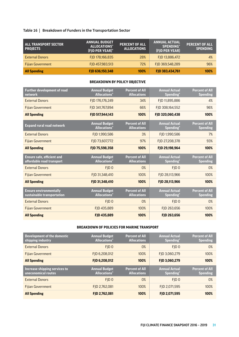## **Table 16 | Breakdown of Funders in the Transportation Sector**

| <b>ALL TRANSPORT SECTOR</b><br><b>PROJECTS</b> | <b>ANNUAL BUDGET</b><br>ALLOCATIONS*<br>(FJD PER YEAR)* | <b>PERCENT OF ALL</b><br><b>ALLOCATIONS</b> | <b>ANNUAL ACTUAL</b><br><b>SPENDING*</b><br>(FJD PER YEAR) | <b>PERCENT OF ALL</b><br><b>SPENDING</b> |
|------------------------------------------------|---------------------------------------------------------|---------------------------------------------|------------------------------------------------------------|------------------------------------------|
| <b>External Donors</b>                         | FJD 178,166,835                                         | 28%                                         | FJD 13,886,472                                             | 4%                                       |
| <b>Fijian Government</b>                       | FJD 457,983,513                                         | 72%                                         | FJD 369,548,289                                            | 96%                                      |
| <b>All Spending</b>                            | FJD 636,150,348                                         | 100%                                        | FJD 383,434,761                                            | 100%                                     |

### **BREAKDOWN BY POLICY OBJECTIVE**

| <b>Further development of road</b><br>network                  | <b>Annual Budget</b><br><b>Allocations</b> <sup>*</sup> | <b>Percent of All</b><br><b>Allocations</b> | <b>Annual Actual</b><br>Spending <sup>*</sup> | <b>Percent of All</b><br><b>Spending</b> |
|----------------------------------------------------------------|---------------------------------------------------------|---------------------------------------------|-----------------------------------------------|------------------------------------------|
| <b>External Donors</b>                                         | FJD 176,176,249                                         | 34%                                         | FJD 11,895,886                                | 4%                                       |
| <b>Fijian Government</b>                                       | FID 341.767.894                                         | 66%                                         | FJD 308,164,552                               | 96%                                      |
| <b>All Spending</b>                                            | FJD 517,944,143                                         | 100%                                        | FJD 320,060,438                               | 100%                                     |
| <b>Expand rural road network</b>                               | <b>Annual Budget</b><br><b>Allocations</b> <sup>*</sup> | <b>Percent of All</b><br><b>Allocations</b> | <b>Annual Actual</b><br>Spending*             | <b>Percent of All</b><br><b>Spending</b> |
| <b>External Donors</b>                                         | FJD 1,990,586                                           | 3%                                          | FJD 1,990,586                                 | 7%                                       |
| <b>Fijian Government</b>                                       | FJD 73,607,772                                          | 97%                                         | FJD 27,208,378                                | 93%                                      |
| <b>All Spending</b>                                            | FJD 75,598,358                                          | 100%                                        | FJD 29,198,964                                | 100%                                     |
|                                                                |                                                         |                                             |                                               |                                          |
| <b>Ensure safe, efficient and</b><br>affordable road transport | <b>Annual Budget</b><br><b>Allocations</b> <sup>*</sup> | <b>Percent of All</b><br><b>Allocations</b> | <b>Annual Actual</b><br>Spending <sup>*</sup> | <b>Percent of All</b><br><b>Spending</b> |
| <b>External Donors</b>                                         | FID <sub>0</sub>                                        | 0%                                          | FID <sub>0</sub>                              | 0%                                       |
| <b>Fijian Government</b>                                       | FID 31.348.410                                          | 100%                                        | FID 28.113.966                                | 100%                                     |
| <b>All Spending</b>                                            | FJD 31,348,410                                          | 100%                                        | FJD 28,113,966                                | 100%                                     |
| <b>Ensure environmentally</b><br>sustainable transportation    | <b>Annual Budget</b><br><b>Allocations</b> <sup>*</sup> | <b>Percent of All</b><br><b>Allocations</b> | <b>Annual Actual</b><br>Spending*             | <b>Percent of All</b><br><b>Spending</b> |
| <b>External Donors</b>                                         | FJD <sub>0</sub>                                        | 0%                                          | FJD <sub>0</sub>                              | 0%                                       |
| <b>Fijian Government</b>                                       | FJD 435,889                                             | 100%                                        | FJD 263,656                                   | 100%                                     |

### **BREAKDOWN OF POLICIES FOR MARINE TRANSPORT**

| Development of the domestic<br>shipping industry     | <b>Annual Budget</b><br><b>Allocations</b> <sup>*</sup> | <b>Percent of All</b><br><b>Allocations</b> | <b>Annual Actual</b><br>Spending* | <b>Percent of All</b><br><b>Spending</b> |
|------------------------------------------------------|---------------------------------------------------------|---------------------------------------------|-----------------------------------|------------------------------------------|
| <b>External Donors</b>                               | FID <sub>0</sub>                                        | 0%                                          | FID <sub>0</sub>                  | 0%                                       |
| <b>Fijian Government</b>                             | FID 6.208.012                                           | 100%                                        | FJD 3,060,279                     | 100%                                     |
| <b>All Spending</b>                                  | FJD 6,208,012                                           | 100%                                        | FJD 3,060,279                     | 100%                                     |
|                                                      |                                                         |                                             |                                   |                                          |
| Increase shipping services to<br>uneconomical routes | <b>Annual Budget</b><br><b>Allocations</b> <sup>*</sup> | <b>Percent of All</b><br><b>Allocations</b> | <b>Annual Actual</b><br>Spending* | <b>Percent of All</b><br><b>Spending</b> |
| <b>External Donors</b>                               | FID <sub>0</sub>                                        | 0%                                          | FID <sub>0</sub>                  | 0%                                       |
| <b>Filian Government</b>                             | FID 2.762.081                                           | 100%                                        | FID 2.071.595                     | 100%                                     |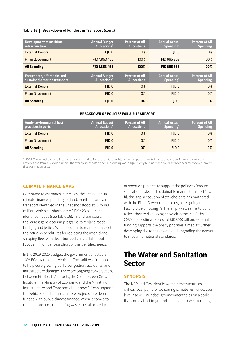#### <span id="page-31-0"></span>**Table 16 | Breakdown of Funders in Transport (cont.)**

| <b>Development of maritime</b><br><i>infrastructure</i>             | <b>Annual Budget</b><br><b>Allocations</b> <sup>*</sup> | <b>Percent of All</b><br><b>Allocations</b> | <b>Annual Actual</b><br>Spending <sup>*</sup> | <b>Percent of All</b><br><b>Spending</b> |
|---------------------------------------------------------------------|---------------------------------------------------------|---------------------------------------------|-----------------------------------------------|------------------------------------------|
| <b>External Donors</b>                                              | FID <sub>0</sub>                                        | 0%                                          | FID <sub>0</sub>                              | 0%                                       |
| <b>Filian Government</b>                                            | FJD 1,853,455                                           | 100%                                        | FID 665.863                                   | 100%                                     |
| <b>All Spending</b>                                                 | FJD 1,853,455                                           | 100%                                        | <b>FID 665,863</b>                            | 100%                                     |
|                                                                     |                                                         |                                             |                                               |                                          |
| <b>Ensure safe, affordable, and</b><br>sustainable marine transport | <b>Annual Budget</b><br><b>Allocations</b> <sup>*</sup> | <b>Percent of All</b><br><b>Allocations</b> | <b>Annual Actual</b><br>Spending*             | <b>Percent of All</b><br><b>Spending</b> |
| <b>External Donors</b>                                              | FID <sub>0</sub>                                        | 0%                                          | FID <sub>0</sub>                              | 0%                                       |
| <b>Filian Government</b>                                            | FID <sub>0</sub>                                        | 0%                                          | FID <sub>0</sub>                              | 0%                                       |

#### **BREAKDOWN OF POLICIES FOR AIR TRANPSORT**

| Apply environmental best<br>practices in ports | <b>Annual Budget</b><br><b>Allocations</b> <sup>*</sup> | <b>Percent of All</b><br><b>Allocations</b> | <b>Annual Actual</b><br>Spending* | <b>Percent of All</b><br><b>Spending</b> |
|------------------------------------------------|---------------------------------------------------------|---------------------------------------------|-----------------------------------|------------------------------------------|
| <b>External Donors</b>                         | FID <sub>0</sub>                                        | 0%                                          | FID <sub>0</sub>                  | 0%                                       |
| <b>Fijian Government</b>                       | FID <sub>0</sub>                                        | 0%                                          | FID <sub>0</sub>                  | 0%                                       |
| <b>All Spending</b>                            | FID <sub>0</sub>                                        | 0%                                          | FID <sub>0</sub>                  | 0%                                       |

\* NOTE: The annual budget allocation provides an indication of the total possible amount of public climate finance that was available to the relevant activities and from all known funders. The availability of data on actual spending varies significantly by funder and could not been secured for every project that was implemented.

## **CLIMATE FINANCE GAPS**

Compared to estimates in the CVA, the actual annual climate finance spending for land, maritime, and air transport identified in the Snapshot stood at FJD\$383 million, which fell short of the FJD\$2.23 billion in identified needs (see Table 16). In land transport, the largest gaps occur in programs to replace roads, bridges, and jetties. When it comes to marine transport, the actual expenditures for replacing the inter-island shipping fleet with decarbonized vessels fall about FJD\$17 million per year short of the identified needs.

In the 2019-2020 budget, the government enacted a 10% ECAL tariff on all vehicles. The tariff was imposed to help curb growing traffic congestion, accidents, and infrastructure damage. There are ongoing conversations between Fiji Roads Authority, the Global Green Growth Institute, the Ministry of Economy, and the Ministry of Infrastructure and Transport about how Fiji can upgrade the vehicle fleet, but no concrete projects have been funded with public climate finance. When it comes to marine transport, no funding was either allocated to

or spent on projects to support the policy to "ensure safe, affordable, and sustainable marine transport." To fill this gap, a coalition of stakeholders has partnered with the Fijian Government to begin designing the Pacific Blue Shipping Partnership, which aims to build a decarbonized shipping network in the Pacific by 2030 at an estimated cost of FJD\$500 billion. External funding supports the policy priorities aimed at further developing the road network and upgrading the network to meet international standards.

## **The Water and Sanitation Sector**

## **SYNOPSIS**

The NAP and CVA identify water infrastructure as a critical focal point for bolstering climate resilience. Sealevel rise will inundate groundwater tables on a scale that could affect in-ground septic and sewer pumping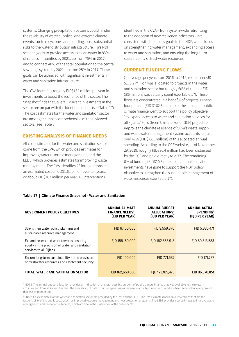systems. Changing precipitation patterns could hinder the reliability of water supplies. And extreme climate events, such as cyclones and flooding, pose substantial risks to the water distribution infrastructure. Fiji's NDP sets the goals to provide access to clean water in 85% of rural communities by 2021, up from 75% in 2017, and to connect 40% of the total population to the central sewerage system by 2021, up from 25% in 2017. These goals can be achieved with significant investments in water and sanitation infrastructure.

The CVA identifies roughly FJD\$162 million per year in investments to boost the resilience of the sector. The Snapshot finds that, overall, current investments in the sector are on par with the identified needs (see Table 17). The cost estimates for the water and sanitation sector are among the most comprehensive of the reviewed sectors (see Table 6).

## **EXISTING ANALYSIS OF FINANCE NEEDS**

All cost estimates for the water and sanitation sector come from the CVA, which provides estimates for improving water resource management, and the LEDS, which provides estimates for improving waste management. The CVA identifies 26 interventions at an estimated cost of FJD\$1.62 billion over ten years, or about FJD\$162 million per year. All interventions

identified in the CVA – from system-wide retrofitting to the adoption of new resilience indicators – are consistent with the policy goals in the NDP, which focus on strengthening water management, expanding access to water and sanitation, and ensuring the long-term sustainability of freshwater resources.

### **CURRENT FUNDING FLOWS**

On average per year, from 2016 to 2019, more than FJD \$173.2 million was allocated to projects in the water and sanitation sector but roughly 50% of that, or FJD \$86 million, was actually spent (see Table 17). These flows are concentrated in a handful of projects. Ninetyfour percent (FJD \$162.8 million) of the allocated public climate finance went to support the policy objective "to expand access to water and sanitation services for all Fijians." Fiji's Green Climate Fund (GCF) project to improve the climate resilience of Suva's waste supply and wastewater management system accounts for just over 42% (FJD\$72.1 million) of this allocated annual spending. According to the GCF website, as of November 29, 2019, roughly FJD\$36.4 million had been disbursed by the GCF and paid directly to ADB. The remaining 6% of funding (FJD\$10.3 million) in annual allocations investments have gone to support the NDP policy objective to strengthen the sustainable management of water resources (see Table 17).

#### **Table 17 | Climate Finance Snapshot - Water and Sanitation**

| <b>GOVERNMENT POLICY OBJECTIVES</b>                                                                                   | <b>ANNUAL CLIMATE</b><br><b>FINANCE NEEDS**</b><br>(FJD PER YEAR) | <b>ANNUAL BUDGET</b><br>ALLOCATIONS*<br>(FJD PER YEAR) | <b>ANNUAL ACTUAL</b><br><b>SPENDING</b> *<br>(FJD PER YEAR) |
|-----------------------------------------------------------------------------------------------------------------------|-------------------------------------------------------------------|--------------------------------------------------------|-------------------------------------------------------------|
| Strengthen water policy planning and<br>sustainable resource management                                               | FJD 6,400,000                                                     | FJD 9,559,870                                          | FJD 5,885,471                                               |
| Expand access and work towards ensuring<br>equity in the provision of water and sanitation<br>services to all Fijians | FJD 156,150,000                                                   | FJD 162,853,918                                        | FID 80.313.583                                              |
| Ensure long-term sustainability in the provision<br>of freshwater resources and catchment security                    | FJD 100,000                                                       | FJD 771,687                                            | FJD 171,797                                                 |
| TOTAL: WATER AND SANITATION SECTOR                                                                                    | FID 162,650,000                                                   | FJD 173,185,475                                        | FJD 86,370,851                                              |

\* NOTE: The annual budget allocation provides an indication of the total possible amount of public climate finance that was available to the relevant activities and from all known funders. The availability of data on actual spending varies significantly by funder and could not been secured for every project that was implemented.

\*\* Note: Cost estimates for the water and sanitation sector are provided by the CVA and the LEDS. The CVA estimates focus on interventions that are the responsibility of the public sector, such as improved resource management and river protection programs. The LEDS provides cost estimates to improve waste management and sanitation outcomes, which are also in the jurisdiction of the public sector.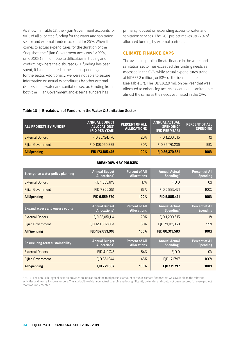As shown in Table 18, the Fijian Government accounts for 80% of all allocated funding for the water and sanitation sector and external funders account for 20%. When it comes to actual expenditures for the duration of the Snapshot, the Fijian Government accounts for 99%, or FJD\$85.1 million. Due to difficulties in tracing and confirming where the disbursed GCF funding has been spent, it is not included in the actual spending data for the sector. Additionally, we were not able to secure information on actual expenditures by other external donors in the water and sanitation sector. Funding from both the Fijian Government and external funders has

primarily focused on expanding access to water and sanitation services. The GCF project makes up 77% of allocated funding by external partners.

### **CLIMATE FINANCE GAPS**

The available public climate finance in the water and sanitation sector has exceeded the funding needs as assessed in the CVA, while actual expenditures stand at FJD\$86.3 million, or 53% of the identified needs (see Table 17). The FJD\$162.8 million per year that was allocated to enhancing access to water and sanitation is almost the same as the needs estimated in the CVA.

#### **Table 18 | Breakdown of Funders in the Water & Sanitation Sector**

| <b>ALL PROJECTS BY FUNDER</b> | <b>ANNUAL BUDGET</b><br>ALLOCATIONS*<br>(FJD PER YEAR) | <b>PERCENT OF ALL</b><br>ALLOCATIONS | <b>ANNUAL ACTUAL</b><br><b>SPENDING*</b><br>(FJD PER YEAR) | <b>PERCENT OF ALL</b><br><b>SPENDING</b> |
|-------------------------------|--------------------------------------------------------|--------------------------------------|------------------------------------------------------------|------------------------------------------|
| <b>External Donors</b>        | FJD 35,124,476                                         | 20%                                  | FJD 1,200,615                                              | 1%                                       |
| <b>Fijian Government</b>      | FJD 138,060,999                                        | 80%                                  | FJD 85,170,236                                             | 99%                                      |
| <b>All Spending</b>           | FJD 173,185,475                                        | 100%                                 | FJD 86,370,851                                             | 100%                                     |

| <b>Strengthen water policy planning</b> | <b>Annual Budget</b><br><b>Allocations*</b>  | <b>Percent of All</b><br><b>Allocations</b> | <b>Annual Actual</b><br>Spending*             | <b>Percent of All</b><br><b>Spending</b> |
|-----------------------------------------|----------------------------------------------|---------------------------------------------|-----------------------------------------------|------------------------------------------|
| <b>External Donors</b>                  | FJD 1,653,619                                | 17%                                         | FID <sub>0</sub>                              | 0%                                       |
| <b>Fijian Government</b>                | FJD 7,906,251                                | 83%                                         | FJD 5,885,471                                 | 100%                                     |
| <b>All Spending</b>                     | FJD 9,559,870                                | 100%                                        | FJD 5,885,471                                 | 100%                                     |
| <b>Expand access and ensure equity</b>  | <b>Annual Budget</b><br><b>Allocations*</b>  | <b>Percent of All</b><br><b>Allocations</b> | <b>Annual Actual</b><br>Spending <sup>*</sup> | <b>Percent of All</b><br><b>Spending</b> |
| <b>External Donors</b>                  | FJD 33,051,114                               | 20%                                         | FID 1.200.615                                 | 1%                                       |
| <b>Fijian Government</b>                | FJD 129,802,804                              | 80%                                         | FJD 79,112,968                                | 99%                                      |
| <b>All Spending</b>                     | FJD 162,853,918                              | 100%                                        | FJD 80,313,583                                | 100%                                     |
| <b>Ensure long-term sustainability</b>  | <b>Annual Budget</b><br><b>Allocations</b> * | <b>Percent of All</b><br><b>Allocations</b> | <b>Annual Actual</b><br>Spending*             | <b>Percent of All</b><br><b>Spending</b> |
| <b>External Donors</b>                  | FJD 419,743                                  | 54%                                         | FJD <sub>0</sub>                              | 0%                                       |
| <b>Fijian Government</b>                | FJD 351,944                                  | 46%                                         | FJD 171,797                                   | 100%                                     |
| <b>All Spending</b>                     | FJD 771,687                                  | 100%                                        | FJD 171,797                                   | 100%                                     |

\* NOTE: The annual budget allocation provides an indication of the total possible amount of public climate finance that was available to the relevant activities and from all known funders. The availability of data on actual spending varies significantly by funder and could not been secured for every project that was implemented.

#### **BREAKDOWN BY POLICIES**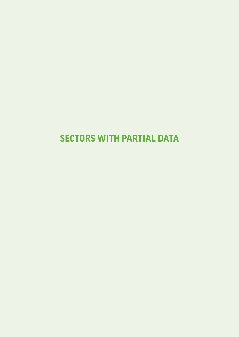## <span id="page-34-0"></span>**SECTORS WITH PARTIAL DATA**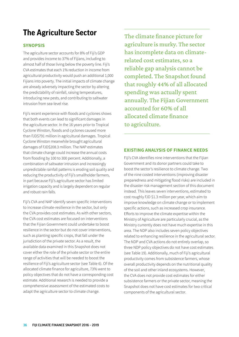## <span id="page-35-0"></span>**The Agriculture Sector**

## **SYNOPSIS**

The agriculture sector accounts for 8% of Fiji's GDP and provides income to 37% of Fijians, including to almost half of those living below the poverty line. Fiji's CVA estimates that each 1% reduction in income from agricultural productivity would push an additional 1,000 Fijians into poverty. The initial impacts of climate change are already adversely impacting the sector by altering the predictability of rainfall, raising temperatures, introducing new pests, and contributing to saltwater intrusion from sea-level rise.

Fiji's recent experience with floods and cyclones shows that both events can lead to significant damages in the agriculture sector. In the 16 years prior to Tropical Cyclone Winston, floods and cyclones caused more than FJD\$791 million in agricultural damages. Tropical Cyclone Winston meanwhile brought agricultural damages of FJD\$208.3 million. The NAP estimates that climate change could increase the annual costs from flooding by 100 to 300 percent. Additionally, a combination of saltwater intrusion and increasingly unpredictable rainfall patterns is eroding soil quality and reducing the productivity of Fiji's smallholder farmers, in part because Fiji's agriculture sector has limited irrigation capacity and is largely dependent on regular and robust rain falls.

Fiji's CVA and NAP identify seven specific interventions to increase climate-resilience in the sector, but only the CVA provides cost estimates. As with other sectors, the CVA cost estimates are focused on interventions that the Fijian Government could undertake to boost resilience in the sector but do not cover interventions, such as planting specific crops, that fall under the jurisdiction of the private sector. As a result, the available data examined in this Snapshot does not cover either the role of the private sector or the entire range of activities that will be needed to boost the resilience of Fiji's agriculture sector (see Table 6). Of the allocated climate finance for agriculture, 73% went to policy objectives that do not have a corresponding cost estimate. Additional research is needed to provide a comprehensive assessment of the estimated costs to adapt the agriculture sector to climate change.

The climate finance picture for agriculture is murky. The sector has incomplete data on climaterelated cost estimates, so a reliable gap analysis cannot be completed. The Snapshot found that roughly 44% of all allocated spending was actually spent annually. The Fijian Government accounted for 60% of all allocated climate finance to agriculture.

## **EXISTING ANALYSIS OF FINANCE NEEDS**

Fiji's CVA identifies nine interventions that the Fijian Government and its donor partners could take to boost the sector's resilience to climate change. Two of the nine costed interventions (improving disaster preparedness and mitigating flood risks) are included in the disaster risk management section of this document instead. This leaves seven interventions, estimated to cost roughly FJD \$1.3 million per year, which aim to improve knowledge on climate change or to implement specific actions, such as increased crop insurance. Efforts to improve the climate expertise within the Ministry of Agriculture are particularly crucial, as the Ministry currently does not have much expertise in this area. The NDP also includes seven policy objectives related to enhancing resilience in the agricultural sector. The NDP and CVA actions do not entirely overlap, so three NDP policy objectives do not have cost estimates (see Table 19). Additionally, much of Fiji's agricultural productivity comes from subsistence farmers, whose overall productivity depends on the nutritional quality of the soil and other inland ecosystems. However, the CVA does not provide cost estimates for either subsistence farmers or the private sector, meaning the Snapshot does not have cost estimates for two critical components of the agricultural sector.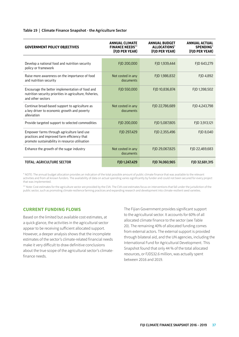#### **Table 19 | Climate Finance Snapshot - the Agriculture Sector**

| <b>GOVERNMENT POLICY OBJECTIVES</b>                                                                                                         | <b>ANNUAL CLIMATE</b><br><b>FINANCE NEEDS**</b><br>(FJD PER YEAR) | <b>ANNUAL BUDGET</b><br>ALLOCATIONS*<br>(FJD PER YEAR) | <b>ANNUAL ACTUAL</b><br><b>SPENDING*</b><br>(FJD PER YEAR) |
|---------------------------------------------------------------------------------------------------------------------------------------------|-------------------------------------------------------------------|--------------------------------------------------------|------------------------------------------------------------|
|                                                                                                                                             |                                                                   |                                                        |                                                            |
| Develop a national food and nutrition security<br>policy or framework                                                                       | FJD 200,000                                                       | FJD 1,939,444                                          | FJD 643,279                                                |
| Raise more awareness on the importance of food<br>and nutrition security                                                                    | Not costed in any<br>documents                                    | FJD 1,986,832                                          | FID 4.892                                                  |
| Encourage the better implementation of food and<br>nutrition security priorities in agriculture, fisheries,<br>and other sectors            | FJD 550,000                                                       | FJD 10,836,874                                         | FJD 1,398,502                                              |
| Continue broad-based support to agriculture as<br>a key driver to economic growth and poverty<br>alleviation                                | Not costed in any<br>documents                                    | FJD 22,786,689                                         | FJD 4,243,798                                              |
| Provide targeted support to selected commodities                                                                                            | FJD 200,000                                                       | FJD 5,087,805                                          | FJD 3,913,121                                              |
| Empower farms through agriculture land use<br>practices and improved farm efficiency that<br>promote sustainability in resource utilisation | FJD 297,429                                                       | FID 2.355.496                                          | FID 8.040                                                  |
| Enhance the growth of the sugar industry                                                                                                    | Not costed in any<br>documents                                    | FID 29.067.825                                         | FID 22.469.683                                             |
| <b>TOTAL: AGRICULTURE SECTOR</b>                                                                                                            | FJD 1,247,429                                                     | FJD 74,060,965                                         | FJD 32,681,315                                             |

\* NOTE: The annual budget allocation provides an indication of the total possible amount of public climate finance that was available to the relevant activities and from all known funders. The availability of data on actual spending varies significantly by funder and could not been secured for every project that was implemented.

\*\* Note: Cost estimates for the agriculture sector are provided by the CVA. The CVA cost estimates focus on interventions that fall under the jurisdiction of the public sector, such as promoting climate resilience farming practices and expanding research and development into climate-resilient seed varieties.

## **CURRENT FUNDING FLOWS**

Based on the limited but available cost estimates, at a quick glance, the activities in the agricultural sector appear to be receiving sufficient allocated support. However, a deeper analysis shows that the incomplete estimates of the sector's climate-related financial needs make it very difficult to draw definitive conclusions about the true scope of the agricultural sector's climatefinance needs.

The Fijian Government provides significant support to the agricultural sector. It accounts for 60% of all allocated climate finance to the sector (see Table 20). The remaining 40% of allocated funding comes from external actors. The external support is provided through bilateral aid, and the UN agencies, including the International Fund for Agricultural Development. This Snapshot found that only 44 % of the total allocated resources, or FJD\$32.6 million, was actually spent between 2016 and 2019.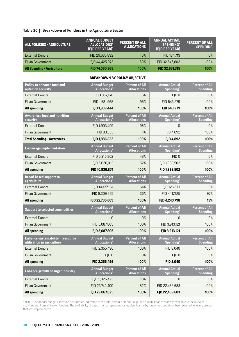## **Table 20 | Breakdown of Funders in the Agriculture Sector**

| ALL POLICIES - AGRICULTURE        | <b>ANNUAL BUDGET</b><br>ALLOCATIONS*<br>(FJD PER YEAR)* | <b>PERCENT OF ALL</b><br><b>ALLOCATIONS</b> | <b>ANNUAL ACTUAL</b><br><b>SPENDING*</b><br>(FJD PER YEAR) | <b>PERCENT OF ALL</b><br><b>SPENDING</b> |
|-----------------------------------|---------------------------------------------------------|---------------------------------------------|------------------------------------------------------------|------------------------------------------|
| <b>External Donors</b>            | FJD 29,635,892                                          | 40%                                         | FJD 134,713                                                | 0%                                       |
| <b>Fijian Government</b>          | FJD 44,425,073                                          | 60%                                         | FJD 32,546,602                                             | 100%                                     |
| <b>All Spending - Agriculture</b> | FJD 74,060,965                                          | 100%                                        | FJD 32,681,315                                             | 100%                                     |

#### **BREAKDOWN BY POLICY OBJECTIVE**

| Policy to enhance food and<br>nutrition security                        | <b>Annual Budget</b><br><b>Allocations</b> <sup>*</sup> | <b>Percent of All</b><br><b>Allocations</b> | <b>Annual Actual</b><br>Spending*             | <b>Percent of All</b><br><b>Spending</b> |
|-------------------------------------------------------------------------|---------------------------------------------------------|---------------------------------------------|-----------------------------------------------|------------------------------------------|
| <b>External Donors</b>                                                  | FJD 357,476                                             | 5%                                          | FJD <sub>0</sub>                              | 0%                                       |
| <b>Fijian Government</b>                                                | FJD 1,581,968                                           | 95%                                         | FJD 643,279                                   | 100%                                     |
| <b>All spending</b>                                                     | FJD 1,939,444                                           | 100%                                        | FJD 643,279                                   | 100%                                     |
| <b>Awareness food and nutrition</b><br>security                         | <b>Annual Budget</b><br><b>Allocations*</b>             | <b>Percent of All</b><br><b>Allocations</b> | <b>Annual Actual</b><br>Spending <sup>*</sup> | <b>Percent of All</b><br><b>Spending</b> |
| <b>External Donors</b>                                                  | FJD 1,903,499                                           | 96%                                         | $\Omega$                                      | 0%                                       |
| Fijian Government                                                       | FJD 83,333                                              | 4%                                          | FJD 4,892                                     | 100%                                     |
| <b>Total Spending - Awareness</b>                                       | FJD 1,986,832                                           | 100%                                        | FJD 4,892                                     | 100%                                     |
| <b>Encourage implementation</b>                                         | <b>Annual Budget</b><br><b>Allocations</b> <sup>*</sup> | <b>Percent of All</b><br><b>Allocations</b> | <b>Annual Actual</b><br>Spending <sup>*</sup> | <b>Percent of All</b><br><b>Spending</b> |
| <b>External Donors</b>                                                  | FJD 5,216,862                                           | 48%                                         | FJD <sub>0</sub>                              | 0%                                       |
| <b>Filian Government</b>                                                | FJD 5,620,012                                           | 52%                                         | FJD 1,398,502                                 | 100%                                     |
| <b>All spending</b>                                                     | FJD 10,836,874                                          | 100%                                        | FJD 1,398,502                                 | 100%                                     |
| <b>Broad-based support to</b><br>agriculture                            | <b>Annual Budget</b><br><b>Allocations*</b>             | <b>Percent of All</b><br><b>Allocations</b> | <b>Annual Actual</b><br>Spending*             | <b>Percent of All</b><br><b>Spending</b> |
| <b>External Donors</b>                                                  | FJD 14,477,134                                          | 64%                                         | FJD 126,673                                   | 3%                                       |
| <b>Fijian Government</b>                                                | FJD 8,309,555                                           | 36%                                         | FJD 4,117,125                                 | 97%                                      |
|                                                                         |                                                         |                                             |                                               |                                          |
| <b>All spending</b>                                                     | FJD 22,786,689                                          | 100%                                        | FJD 4,243,798                                 | 19%                                      |
| <b>Support to selected commodities</b>                                  | <b>Annual Budget</b><br><b>Allocations</b> *            | <b>Percent of All</b><br><b>Allocations</b> | <b>Annual Actual</b><br>Spending*             | <b>Percent of All</b><br>Spending        |
| <b>External Donors</b>                                                  | $\Omega$                                                | 0%                                          | $\Omega$                                      | 0%                                       |
| Fijian Government                                                       | FJD 5,087,805                                           | 100%                                        | FJD 3,913,121                                 | 100%                                     |
| <b>All spending</b>                                                     | FJD 5,087,805                                           | 100%                                        | FJD 3,913,121                                 | 100%                                     |
| <b>Enhance sustainability in resource</b><br>utilisation in agriculture | <b>Annual Budget</b><br><b>Allocations</b> *            | <b>Percent of All</b><br><b>Allocations</b> | <b>Annual Actual</b><br>Spending*             | <b>Percent of All</b><br><b>Spending</b> |
| <b>External Donors</b>                                                  | FJD 2,355,496                                           | 100%                                        | FJD 8,040                                     | 100%                                     |
| <b>Fijian Government</b>                                                | FJD <sub>0</sub>                                        | 0%                                          | FJD <sub>0</sub>                              | 0%                                       |
| <b>All spending</b>                                                     | FJD 2,355,496                                           | 100%                                        | FJD 8,040                                     | 100%                                     |
| <b>Enhance growth of sugar industry</b>                                 | <b>Annual Budget</b><br><b>Allocations*</b>             | <b>Percent of All</b><br><b>Allocations</b> | <b>Annual Actual</b><br>Spending <sup>*</sup> | <b>Percent of All</b><br>Spending        |
| <b>External Donors</b>                                                  | FJD 5,325,425                                           | 18%                                         | $\mathbf 0$                                   | 0%                                       |
| Fijian Government                                                       | FJD 23,742,400                                          | 82%                                         | FJD 22,469,683                                | 100%                                     |

\* NOTE: The annual budget allocation provides an indication of the total possible amount of public climate finance that was available to the relevant activities and from all known funders. The availability of data on actual spending varies significantly by funder and could not been secured for every project that was implemented.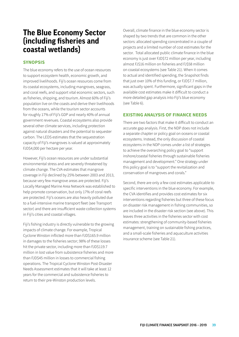## <span id="page-38-0"></span>**The Blue Economy Sector (including fisheries and coastal wetlands)**

## **SYNOPSIS**

The blue economy refers to the use of ocean resources to support ecosystem health, economic growth, and improved livelihoods. Fiji's ocean resources come from its coastal ecosystems, including mangroves, seagrass, and coral reefs, and support vital economic sectors, such as fisheries, shipping, and tourism. Almost 60% of Fiji's population live on the coasts and derive their livelihoods from the oceans, while the tourism sector accounts. for roughly 17% of Fiji's GDP and nearly 40% of annual government revenues. Coastal ecosystems also provide several other climate services, including protection against natural disasters and the potential to sequester carbon. The LEDS estimates that the sequestration capacity of Fiji's mangroves is valued at approximately FJD\$4,000 per hectare per year.

However, Fiji's ocean resources are under substantial environmental stress and are severely threatened by climate change. The CVA estimates that mangrove coverage in Fiji declined by 25% between 2003 and 2013, because very few mangrove areas are protected. Fiji's Locally Managed Marine Area Network was established to help promote conservation, but only 17% of coral reefs are protected. Fiji's oceans are also heavily polluted due to a fuel-intensive marine transport fleet (see Transport sector) and there are insufficient waste collection systems in Fiji's cities and coastal villages.

Fiji's fishing industry is directly vulnerable to the growing impacts of climate change. For example, Tropical Cyclone Winston inflicted more than FJD\$165.9 million in damages to the fisheries sector; 98% of these losses hit the private sector, including more than FJD\$119.7 million in lost value from subsistence fisheries and more than FJD\$45 million in losses to commercial fishing operations. The Tropical Cyclone Winston Post-Disaster Needs Assessment estimates that it will take at least 12 years for the commercial and subsistence fisheries to return to their pre-Winston production levels.

Overall, climate finance in the blue economy sector is shaped by two trends that are common in the other sectors: allocated spending concentrated in a couple of projects and a limited number of cost estimates for the sector. Total allocated public climate finance in the blue economy is just over FJD\$72 million per year, including almost FJ\$16 million on fisheries and FJ\$58 million on coastal ecosystems (see Table 21). When it comes to actual and identified spending, the Snapshot finds that just over 10% of this funding, or FJD\$7.7 million, was actually spent. Furthermore, significant gaps in the available cost estimates make it difficult to conduct a more detailed gap analysis into Fiji's blue economy (see Table 6).

## **EXISTING ANALYSIS OF FINANCE NEEDS**

There are two factors that make it difficult to conduct an accurate gap analysis. First, the NDP does not include a separate chapter or policy goal on oceans or coastal ecosystems. Instead, the only discussion of coastal ecosystems in the NDP comes under a list of strategies to achieve the overarching policy goal to "support inshore/coastal fisheries through sustainable fisheries management and development." One strategy under this policy goal is to "support the revitalization and conservation of mangroves and corals."

Second, there are only a few cost estimates applicable to specific interventions in the blue economy. For example, the CVA identifies and provides cost estimates for six interventions regarding fisheries but three of these focus on disaster risk management in fishing communities, so are included in the disaster risk section (see above). This leaves three activities in the fisheries sector with cost estimates: strengthening of community-based fisheries management, training on sustainable fishing practices, and a small-scale fisheries and aquaculture activities insurance scheme (see Table 21).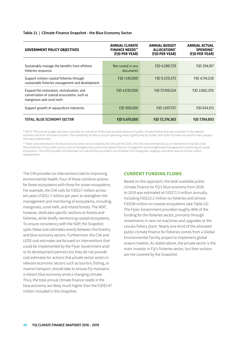#### **Table 21 | Climate Finance Snapshot - the Blue Economy Sector**

| <b>GOVERNMENT POLICY OBJECTIVES</b>                                                                                     | <b>ANNUAL CLIMATE</b><br><b>FINANCE NEEDS**</b><br>(FJD PER YEAR) | <b>ANNUAL BUDGET</b><br>ALLOCATIONS*<br>(FJD PER YEAR) | <b>ANNUAL ACTUAL</b><br><b>SPENDING</b> *<br>(FJD PER YEAR) |
|-------------------------------------------------------------------------------------------------------------------------|-------------------------------------------------------------------|--------------------------------------------------------|-------------------------------------------------------------|
|                                                                                                                         |                                                                   |                                                        |                                                             |
| Sustainably manage the benefits from offshore<br>fisheries resources                                                    | Not costed in any<br>documents                                    | FJD 4,288,729                                          | FJD 294,167                                                 |
| Support inshore coastal fisheries through<br>sustainable fisheries management and development                           | FJD 1,140,000                                                     | FJD 9,229,373                                          | FJD 4,174,228                                               |
| Expand the restoration, revitalization, and<br>conservation of coastal ecosystems, such as<br>mangroves and coral reefs | FJD 4,030,000                                                     | FJD 57,158,524                                         | FID 2.682.255                                               |
| Support growth of aquaculture industries                                                                                | FJD 300,000                                                       | FJD 1,697,757                                          | FJD 634,153                                                 |
| TOTAL: BLUE ECONOMY SECTOR                                                                                              | FJD 5,470,000                                                     | FJD 72,374,383                                         | FJD 7,784,803                                               |

\* NOTE: The annual budget allocation provides an indication of the total possible amount of public climate finance that was available to the relevant activities and from all known funders. The availability of data on actual spending varies significantly by funder and could not been secured for every project that was implemented.

\*\* Note: Cost estimates for the blue economy sector are provided by the CVA and the LEDS. The CVA cost estimates focus on interventions that fall under the jurisdiction of the public sector, such as strengthening community-based fisheries management and strengthened managing and monitoring of coastal ecosystems. The LEDS provides cost estimates on interventions to protect and revitalize Fiji's mangroves, seagrass, and other sources of blue carbon sequestration.

The CVA provides six interventions tied to improving environmental health. Four of these combine actions for forest ecosystems with those for ocean ecosystems. For example, the CVA calls for FJD\$17 million across ten years (FJD\$1.7 million per year) to strengthen the management and monitoring of ecosystems, including mangroves, coral reefs, and inland forests. The NDP, however, dedicates specific sections to forests and fisheries, while briefly mentioning coastal ecosystems. To ensure consistency with the NDP, the Snapshot splits these cost estimates evenly between the forestry and blue economy sectors. Furthermore, the CVA and LEDS cost estimates are focused on interventions that could be implemented by the Fijian Government and/ or its development partners but they do not provide cost estimates for actions that private sector actors in relevant economic sectors such as tourism, fishing, or marine transport, should take to ensure Fiji maintains a vibrant blue economy amid a changing climate. Thus, the total annual climate finance needs in the blue economy are likely much higher than the FJD\$5.47 million included in this Snapshot.

### **CURRENT FUNDING FLOWS**

Based on this approach, the total available public climate finance for Fiji's blue economy from 2016 to 2019 was estimated at FJD\$72.3 million annually, including FJD\$15.2 million on fisheries and almost FJD\$58 million on coastal ecosystems (see Table 22). The Fijian Government provided roughly 46% of the funding for the fisheries sector, primarily through investments in new ice machines and upgrades to the Levuka fishery plant. Nearly one-third of the allocated public climate finance for fisheries comes from a Global Environmental Facility project to implement global oceans treaties. As stated above, the private sector is the main investor in Fiji's fisheries sector, but their actions are not covered by the Snapshot.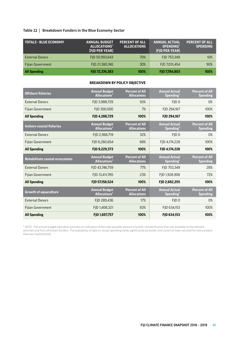### **Table 22 | Breakdown Funders in the Blue Economy Sector**

| <b>TOTALS - BLUE ECONOMY</b> | <b>ANNUAL BUDGET</b><br>ALLOCATIONS*<br>(FJD PER YEAR) | <b>PERCENT OF ALL</b><br><b>ALLOCATIONS</b> | <b>ANNUAL ACTUAL</b><br><b>SPENDING*</b><br>(FJD PER YEAR) | <b>PERCENT OF ALL</b><br><b>SPENDING</b> |
|------------------------------|--------------------------------------------------------|---------------------------------------------|------------------------------------------------------------|------------------------------------------|
| <b>External Donors</b>       | FJD 50,993,643                                         | 70%                                         | FJD 753,349                                                | 10%                                      |
| Fijian Government            | FJD 21,380,740                                         | 30%                                         | FJD 7,031,454                                              | 90%                                      |
| <b>All Spending</b>          | FJD 72,374,383                                         | 100%                                        | FJD 7,784,803                                              | 100%                                     |

### **BREAKDOWN BY POLICY OBJECTIVE**

| <b>Offshore fisheries</b>        | <b>Annual Budget</b><br><b>Allocations</b> <sup>*</sup> | <b>Percent of All</b><br><b>Allocations</b> | <b>Annual Actual</b><br>Spending <sup>*</sup> | <b>Percent of All</b><br><b>Spending</b> |
|----------------------------------|---------------------------------------------------------|---------------------------------------------|-----------------------------------------------|------------------------------------------|
| <b>External Donors</b>           | FJD 3,988,729                                           | 93%                                         | FID <sub>0</sub>                              | 0%                                       |
| <b>Fijian Government</b>         | FID 300,000                                             | 7%                                          | FJD 294,167                                   | 100%                                     |
| <b>All Spending</b>              | FID 4.288.729                                           | 100%                                        | FID 294.167                                   | 100%                                     |
| <b>Inshore coastal fisheries</b> | <b>Annual Budget</b><br><b>Allocations</b> *            | <b>Percent of All</b><br><b>Allocations</b> | <b>Annual Actual</b><br>Spending*             | <b>Percent of All</b><br><b>Spending</b> |
| <b>External Donors</b>           | FJD 2,968,719                                           | 32%                                         | FID <sub>0</sub>                              | 0%                                       |
| <b>Fijian Government</b>         | FJD 6,260,654                                           | 68%                                         | FJD 4,174,228                                 | 100%                                     |
| <b>All Spending</b>              | FJD 9,229,373                                           | 100%                                        | FJD 4,174,228                                 | 100%                                     |
|                                  |                                                         |                                             |                                               |                                          |
| Rehabilitate coastal ecosystems  | <b>Annual Budget</b><br><b>Allocations</b> <sup>*</sup> | <b>Percent of All</b><br><b>Allocations</b> | <b>Annual Actual</b><br>Spending*             | <b>Percent of All</b><br><b>Spending</b> |
| <b>External Donors</b>           | FID 43.746.759                                          | 77%                                         | FID 753.349                                   | 28%                                      |
| Fijian Government                | FJD 13,411,765                                          | 23%                                         | FJD 1,928,906                                 | 72%                                      |
| <b>All Spending</b>              | FJD 57,158,524                                          | 100%                                        | FJD 2,682,255                                 | 100%                                     |
| <b>Growth of aquaculture</b>     | <b>Annual Budget</b><br><b>Allocations</b> *            | <b>Percent of All</b><br><b>Allocations</b> | <b>Annual Actual</b><br>Spending*             | <b>Percent of All</b><br><b>Spending</b> |
| <b>External Donors</b>           | FJD 289,436                                             | 17%                                         | FJD <sub>0</sub>                              | 0%                                       |
| Fijian Government                | FJD 1,408,321                                           | 83%                                         | FJD 634,153                                   | 100%                                     |

\* NOTE: The annual budget allocation provides an indication of the total possible amount of public climate finance that was available to the relevant activities and from all known funders. The availability of data on actual spending varies significantly by funder and could not been secured for every project that was implemented.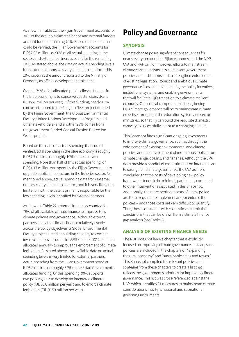<span id="page-41-0"></span>As shown in Table 22, the Fijian Government accounts for 30% of the available climate finance and external funders account for the remaining 70%. Based on the data that could be verified, the Fijian Government accounts for FJD\$7.03 million, or 90% of all actual spending in the sector, and external partners account for the remaining 10%. As stated above, the data on actual spending levels from external donors was very difficult to confirm – this 10% captures the amount reported to the Ministry of Economy as official development assistance.

Overall, 79% of all allocated public climate finance in the blue economy is to conserve coastal ecosystems (FJD\$57 million per year). Of this funding, nearly 45% can be attributed to the Ridge to Reef project (funded by the Fijian Government, the Global Environmental Facility, United Nations Development Program, and other stakeholders) and another 23% comes from the government-funded Coastal Erosion Protection Works project.

Based on the data on actual spending that could be verified, total spending in the blue economy is roughly FJD\$7.7 million, or roughly 10% of the allocated spending. More than half of this actual spending, or FJD\$4.17 million was spent by the Fijian Government to upgrade public infrastructure in the fisheries sector. As mentioned above, actual spending data from external donors is very difficult to confirm, and it is very likely this limitation with the data is primarily responsible for the low spending levels identified by external partners.

As shown in Table 22, external funders accounted for 79% of all available climate finance to improve Fiji's climate policies and governance. Although external partners allocated climate finance relatively evenly across the policy objectives, a Global Environmental Facility project aimed at building capacity to combat invasive species accounts for 55% of the FJD\$12.9 million allocated annually to improve the enforcement of climate legislation. As stated above, the available data on actual spending levels is very limited for external partners. Actual spending from the Fijian Government stood at FJD\$ 8 million, or roughly 62% of the Fijian Government's allocated funding. Of this spending, 90% supports two policy goals: to develop an integrated climate policy (FJD\$6.6 million per year) and to enforce climate legislation (FJD\$0.59 million per year).

## **Policy and Governance**

## **SYNOPSIS**

Climate change poses significant consequences for nearly every sector of the Fijian economy, and the NDP, CVA and NAP call for improved efforts to mainstream climate considerations into all relevant government policies and institutions and to strengthen enforcement of existing legislation. Robust and ambitious climate governance is essential for creating the policy incentives, institutional systems, and enabling environments that will facilitate Fiji's transition to a climate-resilient economy. One critical component of strengthening Fiji's climate governance will be to mainstream climate expertise throughout the education system and sector ministries, so that Fiji can build the requisite domestic capacity to successfully adapt to a changing climate.

This Snapshot finds significant ongoing investments to improve climate governance, such as through the enforcement of existing environmental and climate policies, and the development of more robust policies on climate change, oceans, and fisheries. Although the CVA does provide a handful of cost estimates on interventions to strengthen climate governance, the CVA authors concluded that the costs of developing new policy frameworks tends to be minimal, particularly compared to other interventions discussed in this Snapshot. Additionally, the more pertinent costs of a new policy are those required to implement and/or enforce the policies – and those costs are very difficult to quantify. Thus, these constraints with cost estimates limit the conclusions that can be drawn from a climate finance gap analysis (see Table 6).

## **ANALYSIS OF EXISTING FINANCE NEEDS**

The NDP does not have a chapter that is explicitly focused on improving climate governance. Instead, such policies are included in the chapters on "expanding the rural economy" and "sustainable cities and towns." This Snapshot compiled the relevant policies and strategies from these chapters to create a list that reflects the government's priorities for improving climate governance. This list was cross-referenced against the NAP, which identifies 21 measures to mainstream climate considerations into Fiji's national and subnational governing instruments.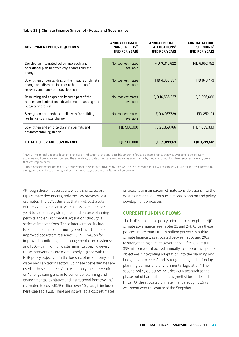#### **Table 23 | Climate Finance Snapshot - Policy and Governance**

| <b>GOVERNMENT POLICY OBJECTIVES</b>                                                                                                          | ANNUAL CLIMATE<br><b>FINANCE NEEDS*</b><br>(FJD PER YEAR) | <b>ANNUAL BUDGET</b><br>ALLOCATIONS*<br>(FJD PER YEAR) | ANNUAL ACTUAL<br><b>SPENDING*</b><br>(FJD PER YEAR) |
|----------------------------------------------------------------------------------------------------------------------------------------------|-----------------------------------------------------------|--------------------------------------------------------|-----------------------------------------------------|
|                                                                                                                                              |                                                           |                                                        |                                                     |
| Develop an integrated policy, approach, and<br>operational plan to effectively address climate<br>change                                     | No cost estimates<br>available                            | FJD 10,116,622                                         | FJD 6,652,752                                       |
| Strengthen understanding of the impacts of climate<br>change and disasters in order to better plan for<br>recovery and long-term development | No cost estimates<br>available                            | FJD 4,868,997                                          | FJD 848,473                                         |
| Resourcing and adaptation become part of the<br>national and subnational development planning and<br>budgetary process                       | No cost estimates<br>available                            | FJD 16,586,057                                         | FJD 396,666                                         |
| Strengthen partnerships at all levels for building<br>resilience to climate change                                                           | No cost estimates<br>available                            | FJD 4,967,729                                          | FJD 252,191                                         |
| Strengthen and enforce planning permits and<br>environmental legislation                                                                     | FJD 500,000                                               | FJD 23,359,766                                         | FJD 1,069,330                                       |
| TOTAL: POLICY AND GOVERNANCE                                                                                                                 | FJD 500,000                                               | FJD 59,899,171                                         | FJD 9,219,412                                       |

\* NOTE: The annual budget allocation provides an indication of the total possible amount of public climate finance that was available to the relevant activities and from all known funders. The availability of data on actual spending varies significantly by funder and could not been secured for every project that was implemented.

\*\* Note: Cost estimates for the policy and governance sector are provided by the CVA. The CVA estimates that it will cost roughly FJD\$5 million over 10 years to strengthen and enforce planning and environmental legislative and institutional frameworks.

Although these measures are widely shared across Fiji's climate documents, only the CVA provides cost estimates. The CVA estimates that it will cost a total of FJD\$77 million over 10 years (FJD\$7.7 million per year) to "adequately strengthen and enforce planning permits and environmental legislation" through a series of interventions. These interventions include FJD\$50 million into community-level investments for improved ecosystem resilience; FJD\$17 million for improved monitoring and management of ecosystems; and FJD\$4.5 million for waste minimization. However, these interventions are more closely aligned with the NDP policy objectives in the forestry, blue economy, and water and sanitation sectors. So, these cost estimates are used in those chapters. As a result, only the intervention on "strengthening and enforcement of planning and environmental legislative and institutional frameworks," estimated to cost FJD\$5 million over 10 years, is included here (see Table 23). There are no available cost estimates

on actions to mainstream climate considerations into the existing national and/or sub-national planning and policy development processes.

#### **CURRENT FUNDING FLOWS**

The NDP sets out five policy priorities to strengthen Fiji's climate governance (see Tables 23 and 24). Across these policies, more than FJD \$59 million per year in public climate finance was allocated between 2016 and 2019 to strengthening climate governance. Of this, 67% (FJD \$39 million) was allocated annually to support two policy objectives: "integrating adaptation into the planning and budgetary processes" and "strengthening and enforcing planning permits and environmental legislation." The second policy objective includes activities such as the phase out of harmful chemicals (methyl bromide and HFCs). Of the allocated climate finance, roughly 15 % was spent over the course of the Snapshot.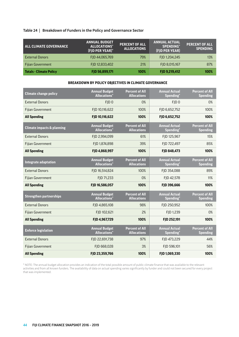#### **Table 24 | Breakdown of Funders in the Policy and Governance Sector**

| <b>ALL CLIMATE GOVERNANCE</b>  | <b>ANNUAL BUDGET</b><br>ALLOCATIONS*<br>(FJD PER YEAR)* | <b>PERCENT OF ALL</b><br><b>ALLOCATIONS</b> | <b>ANNUAL ACTUAL</b><br><b>SPENDING*</b><br>(FJD PER YEAR) | <b>PERCENT OF ALL</b><br><b>SPENDING</b> |
|--------------------------------|---------------------------------------------------------|---------------------------------------------|------------------------------------------------------------|------------------------------------------|
| <b>External Donors</b>         | FJD 44,065,769                                          | 79%                                         | FJD 1,204,245                                              | 13%                                      |
| Fijian Government              | FJD 12,833,402                                          | 21%                                         | FJD 8,015,167                                              | 87%                                      |
| <b>Totals - Climate Policy</b> | FJD 56,899,171                                          | 100%                                        | FJD 9,219,412                                              | 100%                                     |

#### **BREAKDOWN BY POLICY OBJECTIVES IN CLIMATE GOVERNANCE**

| <b>Climate change policy</b>          | <b>Annual Budget</b><br><b>Allocations</b> <sup>*</sup> | <b>Percent of All</b><br><b>Allocations</b> | <b>Annual Actual</b><br>Spending*             | <b>Percent of All</b><br><b>Spending</b> |
|---------------------------------------|---------------------------------------------------------|---------------------------------------------|-----------------------------------------------|------------------------------------------|
| <b>External Donors</b>                | FJD <sub>0</sub>                                        | 0%                                          | FJD <sub>0</sub>                              | 0%                                       |
| <b>Fijian Government</b>              | FJD 10,116,622                                          | 100%                                        | FJD 6,652,752                                 | 100%                                     |
| <b>All Spending</b>                   | FJD 10,116,622                                          | 100%                                        | FJD 6,652,752                                 | 100%                                     |
| <b>Climate impacts &amp; planning</b> | <b>Annual Budget</b><br><b>Allocations</b> <sup>*</sup> | <b>Percent of All</b><br><b>Allocations</b> | <b>Annual Actual</b><br>Spending <sup>*</sup> | <b>Percent of All</b><br><b>Spending</b> |
| <b>External Donors</b>                | FJD 2,994,099                                           | 61%                                         | FJD 125,967                                   | 15%                                      |
| Fijian Government                     | FJD 1,874,898                                           | 39%                                         | FJD 722,497                                   | 85%                                      |
| <b>All Spending</b>                   | FJD 4,868,997                                           | 100%                                        | FJD 848,473                                   | 100%                                     |
| Integrate adaptation                  | <b>Annual Budget</b><br><b>Allocations</b> *            | <b>Percent of All</b><br><b>Allocations</b> | <b>Annual Actual</b><br>Spending*             | <b>Percent of All</b><br><b>Spending</b> |
| <b>External Donors</b>                | FJD 16,514,824                                          | 100%                                        | FJD 354,088                                   | 89%                                      |
| Fijian Government                     | FJD 71,233                                              | 0%                                          | FJD 42,578                                    | 11%                                      |
| <b>All Spending</b>                   | FJD 16,586,057                                          | 100%                                        | FJD 396,666                                   | 100%                                     |
| <b>Strengthen partnerships</b>        | <b>Annual Budget</b><br><b>Allocations</b> <sup>*</sup> | <b>Percent of All</b><br><b>Allocations</b> | <b>Annual Actual</b><br>Spending*             | <b>Percent of All</b><br><b>Spending</b> |
| <b>External Donors</b>                | FJD 4,865,108                                           | 98%                                         | FJD 250,952                                   | 100%                                     |
| <b>Fijian Government</b>              | FID 102.621                                             | 2%                                          | FID 1.239                                     | 0%                                       |
| <b>All Spending</b>                   | FJD 4,967,729                                           | 100%                                        | FJD 252,191                                   | 100%                                     |
| <b>Enforce legislation</b>            | <b>Annual Budget</b><br><b>Allocations</b> <sup>*</sup> | <b>Percent of All</b><br><b>Allocations</b> | <b>Annual Actual</b><br>Spending*             | <b>Percent of All</b><br><b>Spending</b> |
| <b>External Donors</b>                | FJD 22,691,738                                          | 97%                                         | FJD 473,229                                   | 44%                                      |
| Fijian Government                     | FJD 668,028                                             | 3%                                          | FJD 596,101                                   | 56%                                      |
| <b>All Spending</b>                   | FJD 23,359,766                                          | 100%                                        | FJD 1,069,330                                 | 100%                                     |

\* NOTE: The annual budget allocation provides an indication of the total possible amount of public climate finance that was available to the relevant activities and from all known funders. The availability of data on actual spending varies significantly by funder and could not been secured for every project that was implemented.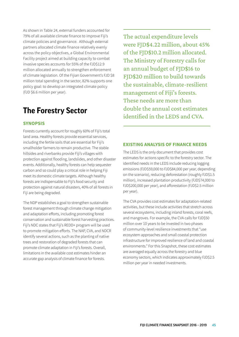<span id="page-44-0"></span>As shown in Table 24, external funders accounted for 79% of all available climate finance to improve Fiji's climate policies and governance. Although external partners allocated climate finance relatively evenly across the policy objectives, a Global Environmental Facility project aimed at building capacity to combat invasive species accounts for 55% of the FJD\$12.9 million allocated annually to strengthen enforcement of climate legislation. Of the Fijian Government's FJD \$8 million total spending in the sector, 82% supports one policy goal: to develop an integrated climate policy (FJD \$6.6 million per year).

## **The Forestry Sector**

## **SYNOPSIS**

Forests currently account for roughly 60% of Fiji's total land area. Healthy forests provide essential services, including the fertile soils that are essential for Fiji's smallholder farmers to remain productive. The stable hillsides and riverbanks provide Fiji's villages with protection against flooding, landslides, and other disaster events. Additionally, healthy forests can help sequester carbon and so could play a critical role in helping Fiji meet its domestic climate targets. Although healthy forests are indispensable to Fiji's food security and protection against natural disasters, 40% of all forests in Fiji are being degraded.

The NDP establishes a goal to strengthen sustainable forest management through climate change mitigation and adaptation efforts, including promoting forest conservation and sustainable forest harvesting practices. Fiji's NDC states that Fiji's REDD+ program will be used to promote mitigation efforts. The NAP, CVA, and NDCR identify several actions, such as the planting of native trees and restoration of degraded forests that can promote climate adaptation in Fiji's forests. Overall, limitations in the available cost estimates hinder an accurate gap analysis of climate finance for forests.

The actual expenditure levels were FJD\$4.22 million, about 45% of the FJD\$10.2 million allocated. The Ministry of Forestry calls for an annual budget of FJD\$16 to FJD\$20 million to build towards the sustainable, climate-resilient management of Fiji's forests. These needs are more than double the annual cost estimates identified in the LEDS and CVA.

## **EXISTING ANALYSIS OF FINANCE NEEDS**

The LEDS is the only document that provides cost estimates for actions specific to the forestry sector. The identified needs in the LEDS include reducing logging emissions (FJD\$59,000 to FJD\$84,000 per year, depending on the scenario), reducing deforestation (roughly FJD\$1.5 million), increased plantation productivity (FJD\$74,000 to FJD\$200,000 per year), and afforestation (FJD\$2.5 million per year).

The CVA provides cost estimates for adaptation-related activities, but these include activities that stretch across several ecosystems, including inland forests, coral reefs, and mangroves. For example, the CVA calls for FJD\$50 million over 10 years to be invested in two phases of community-level resilience investments that "use ecosystem approaches and small coastal protection infrastructure for improved resilience of land and coastal environments." For this Snapshot, these cost estimates are averaged equally across the forestry and blue economy sectors, which indicates approximately FJD\$2.5 million per year in needed investments.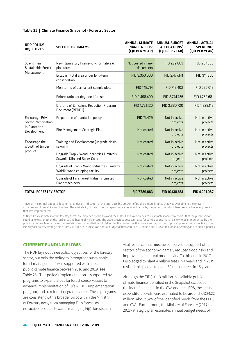| <b>NDP POLICY</b><br><b>OBJECTIVES</b>           | <b>SPECIFIC PROGRAMS</b>                                                      | <b>ANNUAL CLIMATE</b><br><b>FINANCE NEEDS*</b><br>(FJD PER YEAR) | <b>ANNUAL BUDGET</b><br>ALLOCATIONS*<br>(FJD PER YEAR) | <b>ANNUAL ACTUAL</b><br><b>SPENDING*</b><br>(FJD PER YEAR) |
|--------------------------------------------------|-------------------------------------------------------------------------------|------------------------------------------------------------------|--------------------------------------------------------|------------------------------------------------------------|
|                                                  |                                                                               |                                                                  |                                                        |                                                            |
| Strengthen<br>Sustainable Forest                 | New Regulatory Framework for native &<br>pine forests                         | Not costed in any<br>documents                                   | FJD 292,683                                            | FJD 237,805                                                |
| Management                                       | Establish total area under long-term<br>conservation                          | FJD 3,350,000                                                    | FJD 2,477,141                                          | FJD 311,850                                                |
|                                                  | Monitoring of permanent sample plots                                          | FJD 148,714                                                      | FJD 713,402                                            | FJD 585,613                                                |
|                                                  | Reforestation of degraded forests                                             | FJD 2,498,400                                                    | FJD 2,774,735                                          | FJD 1,762,681                                              |
|                                                  | Drafting of Emissions Reduction Program<br>Document (REDD+)                   | FJD 1,721,120                                                    | FJD 3,880,720                                          | FJD 1,323,118                                              |
| <b>Encourage Private</b><br>Sector Participation | Preparation of plantation policy                                              | FJD 71,429                                                       | Not in active<br>projects                              | Not in active<br>projects                                  |
| in Plantation<br>Development                     | Fire Management Strategic Plan                                                | Not costed                                                       | Not in active<br>projects                              | Not in active<br>projects                                  |
| Encourage the<br>growth of timber                | Training and Development (upgrade Nasinu<br>sawmill)                          | Not costed                                                       | Not in active<br>projects                              | Not in active<br>projects                                  |
| product                                          | Upgrade Tropik Wood Industries Limited's<br>Sawmill, Kiln and Boiler Coils    | Not costed                                                       | Not in active<br>projects                              | Not in active<br>projects                                  |
|                                                  | Upgrade of Tropik Wood Industries Limited's<br>Wairiki wood chipping facility | Not costed                                                       | Not in active<br>projects                              | Not in active<br>projects                                  |
|                                                  | Upgrade of Fiji's Forest Industry Limited<br>Plant Machinery                  | Not costed                                                       | Not in active<br>projects                              | Not in active<br>projects                                  |
| <b>TOTAL: FORESTRY SECTOR</b>                    |                                                                               | FJD 7,789,663                                                    | FJD 10,138,681                                         | FJD 4,221,067                                              |

#### **Table 25 | Climate Finance Snapshot - Forestry Sector**

\* NOTE: The annual budget allocation provides an indication of the total possible amount of public climate finance that was available to the relevant activities and from all known funders. The availability of data on actual spending varies significantly by funder and could not been secured for every project that was implemented.

\*\* Note: Cost estimates for the forestry sector are provided by the CVA and the LEDS. The CVA provides cost estimates for interventions that the public sector could take to strengthen the resilience and health of Fiji's forests. The LEDS provides cost estimates for some actions that are likely to be implemented by the public sector, such as reducing deforestation and others that would fall under the purview of the private sector, such as improved plantation productivity. The Ministry of Forestry strategic plan from 2017 to 2023 projects an annual budget of between FJD\$16 million and FJD\$19 million in operating and capital expenses.

### **CURRENT FUNDING FLOWS**

The NDP lays out three policy objectives for the forestry sector, but only the policy to "strengthen sustainable forest management" was supported with allocated public climate finance between 2016 and 2019 (see Table 25). This policy's implementation is supported by programs to expand areas for forest conservation, to advance implementation of Fiji's REDD+ implementation program, and to reforest degraded areas. These programs are consistent with a broader pivot within the Ministry of Forestry away from managing Fiji's forests as an extractive resource towards managing Fiji's forests as a

vital resource that must be conserved to support other sectors of the economy, namely reduced flood risks and improved agricultural productivity. To this end, in 2017, Fiji pledged to plant 4 million trees in 4 years and in 2019 revised this pledge to plant 30 million trees in 15 years.

Although the FJD\$10.13 million in available public climate finance identified in the Snapshot exceeded the identified needs in the CVA and the LEDS, the actual expenditure levels were estimated to be around FJD\$4.22 million, about 54% of the identified needs from the LEDS and CVA. Furthermore, the Ministry of Forestry (2017 to 2023) strategic plan estimates annual budget needs of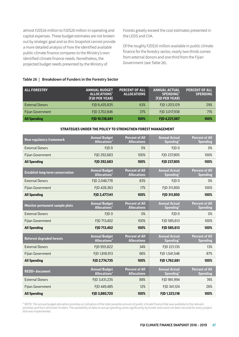almost FJD\$16 million to FJD\$20 million in operating and capital expenses. These budget estimates are not broken out by strategic goal and so this Snapshot cannot provide a more detailed analysis of how the identified available public climate finance compares to the Ministry's own identified climate finance needs. Nonetheless, the projected budget needs presented by the Ministry of

Forests greatly exceed the cost estimates presented in the LEDS and CVA.

Of the roughly FJD\$10 million available in public climate finance for the forestry sector, nearly two-thirds comes from external donors and one third from the Fijian Government (see Table 26).

| <b>ALL FORESTRY</b>    | <b>ANNUAL BUDGET</b><br>ALLOCATIONS*<br>(FJD PER YEAR) | <b>PERCENT OF ALL</b><br><b>ALLOCATIONS</b> | <b>ANNUAL ACTUAL</b><br>SPENDING*<br>(FJD PER YEAR) | <b>PERCENT OF ALL</b><br><b>SPENDING</b> |
|------------------------|--------------------------------------------------------|---------------------------------------------|-----------------------------------------------------|------------------------------------------|
| <b>External Donors</b> | FJD 6,435,835                                          | 63%                                         | FJD 1,203,129                                       | 29%                                      |
| Fijian Government      | FJD 3,702,846                                          | <b>37%</b>                                  | FJD 3,017,938                                       | 71%                                      |
| <b>All Spending</b>    | FJD 10,138,681                                         | 100%                                        | FJD 4,221,067                                       | 100%                                     |

### **Table 26 | Breakdown of Funders in the Forestry Sector**

#### **STRATEGIES UNDER THE POLICY TO STRENGTHEN FOREST MANAGEMENT**

| <b>New regulatory framework</b>         | <b>Annual Budget</b><br><b>Allocations</b> * | <b>Percent of All</b><br><b>Allocations</b> | <b>Annual Actual</b><br>Spending*             | <b>Percent of All</b><br><b>Spending</b> |
|-----------------------------------------|----------------------------------------------|---------------------------------------------|-----------------------------------------------|------------------------------------------|
| <b>External Donors</b>                  | FJD <sub>0</sub>                             | 0%                                          | FJD <sub>0</sub>                              | 0%                                       |
| Fijian Government                       | FJD 292,683                                  | 100%                                        | FJD 237,805                                   | 100%                                     |
| <b>All Spending</b>                     | FJD 292,683                                  | 100%                                        | FJD 237,805                                   | 100%                                     |
| <b>Establish long-term conservation</b> | <b>Annual Budget</b><br><b>Allocations</b> * | <b>Percent of All</b><br><b>Allocations</b> | <b>Annual Actual</b><br>Spending*             | <b>Percent of All</b><br><b>Spending</b> |
| <b>External Donors</b>                  | FJD 2,048,778                                | 83%                                         | FJD <sub>0</sub>                              | 0%                                       |
| Fijian Government                       | FJD 428,363                                  | 17%                                         | FJD 311,850                                   | 100%                                     |
| <b>All Spending</b>                     | FJD 2,477,141                                | 100%                                        | FJD 311,850                                   | 100%                                     |
| Monitor permanent sample plots          | <b>Annual Budget</b><br><b>Allocations</b> * | <b>Percent of All</b><br><b>Allocations</b> | <b>Annual Actual</b><br>Spending*             | <b>Percent of All</b><br><b>Spending</b> |
| <b>External Donors</b>                  | FJD <sub>0</sub>                             | 0%                                          | FJD <sub>0</sub>                              | 0%                                       |
| Fijian Government                       | FJD 713,402                                  | 100%                                        | FJD 585,613                                   | 100%                                     |
| <b>All Spending</b>                     | FJD 713,402                                  | 100%                                        | FJD 585,613                                   | 100%                                     |
| <b>Reforest degraded forests</b>        | <b>Annual Budget</b><br><b>Allocations</b> * | <b>Percent of All</b><br><b>Allocations</b> | <b>Annual Actual</b><br>Spending*             | <b>Percent of All</b><br><b>Spending</b> |
| <b>External Donors</b>                  | FJD 955,822                                  | 34%                                         | FJD 221,135                                   | 13%                                      |
| Fijian Government                       | FJD 1,818,913                                | 66%                                         | FJD 1,541,546                                 | 87%                                      |
| <b>All Spending</b>                     | FJD 2,774,735                                | 100%                                        | FJD 1,762,681                                 | 100%                                     |
| <b>REDD+</b> document                   | <b>Annual Budget</b><br><b>Allocations</b> * | <b>Percent of All</b><br><b>Allocations</b> | <b>Annual Actual</b><br>Spending <sup>*</sup> | <b>Percent of All</b><br><b>Spending</b> |
| <b>External Donors</b>                  | FJD 3,431,235                                | 88%                                         | FJD 981,994                                   | 74%                                      |
| Fijian Government                       | FJD 449,485                                  | 12%                                         | FJD 341,124                                   | 26%                                      |
| <b>All Spending</b>                     | FJD 3,880,720                                | 100%                                        | FJD 1,323,118                                 | 100%                                     |

\* NOTE: The annual budget allocation provides an indication of the total possible amount of public climate finance that was available to the relevant activities and from all known funders. The availability of data on actual spending varies significantly by funder and could not been secured for every project that was implemented.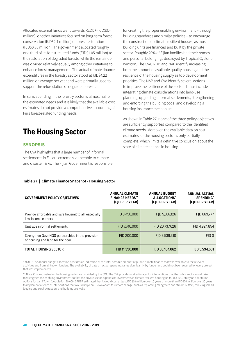<span id="page-47-0"></span>Allocated external funds went towards REDD+ (FJD\$3.4 million), or other initiatives focused on long-term forest conservation (FJD\$2.1 million) or forest restoration (FJD\$0.86 million). The government allocated roughly one third of its forest-related funds (FJD\$1.05 million) to the restoration of degraded forests, while the remainder was divided relatively equally among other initiatives to enhance forest management. The actual climate finance expenditures in the forestry sector stood at FJD\$4.22 million on average per year and were primarily used to support the reforestation of degraded forests.

In sum, spending in the forestry sector is almost half of the estimated needs and it is likely that the available cost estimates do not provide a comprehensive accounting of Fiji's forest-related funding needs.

## **The Housing Sector**

## **SYNOPSIS**

The CVA highlights that a large number of informal settlements in Fiji are extremely vulnerable to climate and disaster risks. The Fijian Government is responsible

for creating the proper enabling environment – through building standards and similar policies – to encourage the construction of climate resilient houses, as most building units are financed and built by the private sector. Roughly 20% of Fijian families had their homes and personal belongings destroyed by Tropical Cyclone Winston. The CVA, NDP, and NAP identify increasing both the amount of available quality housing and the resilience of the housing supply as top development priorities. The NAP and CVA identify several actions to improve the resilience of the sector. These include integrating climate considerations into land-use planning, upgrading informal settlements, strengthening and enforcing the building code, and developing a housing insurance mechanism.

As shown in Table 27, none of the three policy objectives are sufficiently supported compared to the identified climate needs. Moreover, the available data on cost estimates for the housing sector is only partially complete, which limits a definitive conclusion about the state of climate finance in housing.

#### **GOVERNMENT POLICY OBJECTIVES ANNUAL CLIMATE FINANCE NEEDS\*\* (FJD PER YEAR) ANNUAL BUDGET ALLOCATIONS\* (FJD PER YEAR) ANNUAL ACTUAL SPENDING\* (FJD PER YEAR)** Provide affordable and safe housing to all, especially low-income earners FJD 3,450,000 FJD 5,887,126 FJD 669,777 Upgrade informal settlements FJD 7,740,000 FJD 20,737,626 FJD 4,924,854 Strengthen Govt-NGO partnerships in the provision of housing and land for the poor FJD 200,000 FJD 3,539,310 FJD 0 TOTAL: HOUSING SECTOR FJD 11,390,000 FJD 30,164,062 FJD 5,594,631

### **Table 27 | Climate Finance Snapshot - Housing Sector**

\* NOTE: The annual budget allocation provides an indication of the total possible amount of public climate finance that was available to the relevant activities and from all known funders. The availability of data on actual spending varies significantly by funder and could not been secured for every project that was implemented.

\*\* Note: Cost estimates for the housing sector are provided by the CVA. The CVA provides cost estimates for interventions that the public sector could take to strengthen the enabling environment so that the private sector expands its investments in climate resilient housing units. In a 2013 study on adaptation options for Lami Town (population 20,000) SPREP estimated that it would cost at least FJD\$18 million over 10 years or more than FJD\$24 million over 20 years to implement a series of interventions that would help Lami Town adapt to climate change, such as replanting mangroves and stream buffers, reducing inland logging and coral extraction, and building sea walls.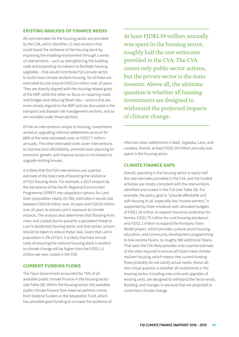## **EXISTING ANALYSIS OF FINANCE NEEDS**

All cost estimates for the housing sector are provided by the CVA, which identifies 12 interventions that could boost the resilience of the housing stock by improving the enabling environment through a series of interventions – such as strengthening the building code and expanding microloans to facilitate housing upgrades – that would incentivize Fiji's private sector to build more climate resilient housing. Six of these are estimated to cost around FJD\$114 million over 10 years. They are directly aligned with the housing-related goals of the NDP, while the other six focus on repairing roads and bridges and reducing flood risks – actions that are more closely aligned to the NDP policies discussed in the transport and disaster risk management sections, and so are included under those sections.

Of the six interventions unique to housing, investments aimed at upgrading informal settlements account for 68% of the total estimated costs, or FJD\$7.7 million annually. The other estimated costs cover interventions to improve land affordability, promote town planning for economic growth, and improve access to microloans to upgrade existing houses.

It is likely that the CVA interventions are a partial estimate of the total costs of boosting the resilience of Fiji's housing stock. For example, a 2013 analysis by the Secretariat of the Pacific Regional Environment Programme (SPREP) into adaptation options for Lami town (population nearly 24,700), estimates it would cost between FJD\$18 million over 10 years and FJD\$24 million over 20 years to reduce Lami's exposure to climate impacts. The analysis also determines that flooding from rivers and coastal storms presents a persistent threat to Lami's residential housing sector and that certain actions should be taken to reduce these risks. Given that Lami's population is 2% of Fiji's, it is likely that total annual costs of ensuring the national housing stock is resilient to climate change will be higher than the FJD\$11.3 million per year costed in the CVA.

## **CURRENT FUNDING FLOWS**

The Fijian Government accounted for 75% of all available public climate finance in the housing sector (see Table 28). Within the housing sector, the available public climate finance from external partners comes from bilateral funders or the Adaptation Fund, which has provided grant funding to increase the resilience of

At least FJD\$5.59 million annually was spent in the housing sector, roughly half the cost estimates provided in the CVA. The CVA covers only public sector actions, but the private sector is the main investor. Above all, the ultimate question is whether all housing investments are designed to withstand the projected impacts of climate change.

informal urban settlements in Nadi, Sigatoka, Lami, and Lautoka. Overall, at least FJD\$5.59 million annually was spent in the housing sector.

## **CLIMATE FINANCE GAPS**

Overall, spending in the housing sector is nearly half the cost estimates provided in the CVA, and the funded activities are mostly consistent with the interventions identified and costed in the CVA (see Table 28). For example, the policy goal to "provide affordable and safe housing to all, especially low-income earners," is supported by three initiatives with allocated budgets of FJD\$1.24 million to expand insurance protection for homes, FJD\$1.75 million for rural housing assistance, and FJD\$1.1 million to expand the Koroipita Town Model project, which provides cyclone-proof housing, education, and community development programming to low-income Fijians, to roughly 580 additional Fijians. That said, the CVA likely provides only a partial estimate of the costs required to ensure all Fijians have climateresilient housing, which means that current funding flows probably do not satisfy actual needs. Above all, the critical question is whether all investments in the housing sector, including new units and upgrades of existing units, are designed to withstand the fierce winds, flooding, and changes in sea level that are projected to come from climate change.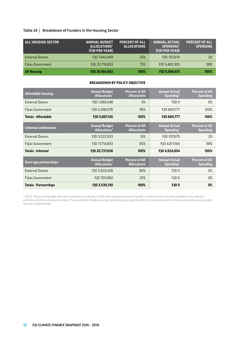### **Table 28 | Breakdown of Funders in the Housing Sector**

| <b>ALL HOUSING SECTOR</b> | <b>ANNUAL BUDGET</b><br>ALLOCATIONS*<br>(FJD PER YEAR) | <b>PERCENT OF ALL</b><br><b>ALLOCATIONS</b> | <b>ANNUAL ACTUAL</b><br><b>SPENDING*</b><br>(FJD PER YEAR) | <b>PERCENT OF ALL</b><br><b>SPENDING</b> |
|---------------------------|--------------------------------------------------------|---------------------------------------------|------------------------------------------------------------|------------------------------------------|
| <b>External Donors</b>    | FJD 7,445,409                                          | 25%                                         | FJD 107,670                                                | 2%                                       |
| <b>Fijian Government</b>  | FJD 22,718,653                                         | 75%                                         | FJD 5,483,305                                              | 98%                                      |
| <b>All Housing</b>        | FJD 30,164,062                                         | 100%                                        | FJD 5,594,631                                              | 100%                                     |

#### **BREAKDOWN BY POLICY OBJECTIVE**

| <b>Affordable housing</b>    | <b>Annual Budget</b><br><b>Allocations</b> <sup>*</sup> | <b>Percent of All</b><br><b>Allocations</b> | <b>Annual Actual</b><br>Spending* | <b>Percent of All</b><br><b>Spending</b> |
|------------------------------|---------------------------------------------------------|---------------------------------------------|-----------------------------------|------------------------------------------|
| <b>External Donors</b>       | FJD 1,589,048                                           | 5%                                          | FID <sub>0</sub>                  | 0%                                       |
| <b>Fijian Government</b>     | FJD 4,298,078                                           | 95%                                         | FJD 669,777                       | 100%                                     |
| <b>Totals - Affordable</b>   | FJD 5,887,126                                           | 100%                                        | FJD 669,777                       | 100%                                     |
| <b>Informal settlements</b>  | <b>Annual Budget</b><br><b>Allocations*</b>             | <b>Percent of All</b><br><b>Allocations</b> | <b>Annual Actual</b><br>Spending* | <b>Percent of All</b><br><b>Spending</b> |
| <b>External Donors</b>       | FJD 3,022,933                                           | 15%                                         | FJD 107,670                       | 2%                                       |
| Fijian Government            | FJD 17,714,693                                          | 85%                                         | FJD 4,817,184                     | 98%                                      |
| Totals - Informal            | FJD 20,737,626                                          | 100%                                        | FJD 4,924,854                     | 100%                                     |
| Govt-ngo partnerships        | <b>Annual Budget</b><br><b>Allocations</b> *            | <b>Percent of All</b><br><b>Allocations</b> | <b>Annual Actual</b><br>Spending* | <b>Percent of All</b><br><b>Spending</b> |
| <b>External Donors</b>       | FJD 2,833,428                                           | 80%                                         | FJD <sub>0</sub>                  | 0%                                       |
| Fijian Government            | FID 705.882                                             | 20%                                         | FID <sub>0</sub>                  | 0%                                       |
| <b>Totals - Partnerships</b> | FJD 3,539,310                                           | 100%                                        | FJD <sub>0</sub>                  | 0%                                       |

\* NOTE: The annual budget allocation provides an indication of the total possible amount of public climate finance that was available to the relevant activities and from all known funders. The availability of data on actual spending varies significantly by funder and could not been secured for every project that was implemented.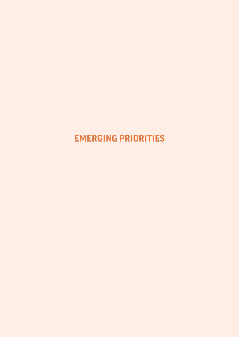## <span id="page-50-0"></span>**EMERGING PRIORITIES**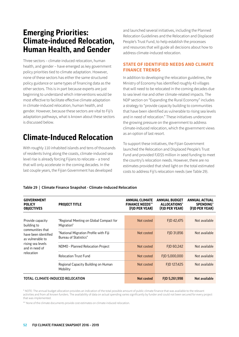## <span id="page-51-0"></span>**Emerging Priorities: Climate-induced Relocation, Human Health, and Gender**

Three sectors – climate-induced relocation, human health, and gender – have emerged as key government policy priorities tied to climate adaptation. However, none of these sectors has either the same structured policy guidance or same types of financing data as the other sectors. This is in part because experts are just beginning to understand which interventions would be most effective to facilitate effective climate adaptation in climate-induced relocation, human health, and gender. However, because these sectors are vital to Fiji's adaptation pathways, what is known about these sectors is discussed below.

## **Climate-Induced Relocation**

With roughly 110 inhabited islands and tens of thousands of residents living along the coasts, climate-induced sea level rise is already forcing Fijians to relocate – a trend that will only accelerate in the coming decades. In the last couple years, the Fijian Government has developed

and launched several initiatives, including the Planned Relocation Guidelines and the Relocation and Displaced People's Trust Fund, to help establish the processes and resources that will guide all decisions about how to address climate-induced relocation.

## **STATE OF IDENTIFIED NEEDS AND CLIMATE FINANCE TRENDS**

In addition to developing the relocation guidelines, the Ministry of Economy has identified roughly 43 villages that will need to be relocated in the coming decades due to sea level rise and other climate-related impacts. The NDP section on "Expanding the Rural Economy" includes a strategy to "provide capacity building to communities that have been identified as vulnerable to rising sea levels and in need of relocation." These initiatives underscore the growing pressure on the government to address climate-induced relocation, which the government views as an option of last resort.

To support these initiatives, the Fijian Government launched the Relocation and Displaced People's Trust Fund and provided FJD\$5 million in seed funding to meet the country's relocation needs. However, there are no estimates provided that shed light on the total estimated costs to address Fiji's relocation needs (see Table 29).

### **Table 29 | Climate Finance Snapshot - Climate-Induced Relocation**

| <b>GOVERNMENT</b><br><b>POLICY</b><br><b>OBJECTIVES</b>                                                                                              | <b>PROJECT TITLE</b>                                                  | <b>ANNUAL CLIMATE</b><br><b>FINANCE NEEDS**</b><br>(FJD PER YEAR) | <b>ANNUAL BUDGET</b><br>ALLOCATIONS*<br>(FJD PER YEAR) | <b>ANNUAL ACTUAL</b><br><b>SPENDING</b> *<br>(FJD PER YEAR) |
|------------------------------------------------------------------------------------------------------------------------------------------------------|-----------------------------------------------------------------------|-------------------------------------------------------------------|--------------------------------------------------------|-------------------------------------------------------------|
|                                                                                                                                                      |                                                                       |                                                                   |                                                        |                                                             |
| Provide capacity<br>building to<br>communities that<br>have been identified<br>as vulnerable to<br>rising sea levels<br>and in need of<br>relocation | "Regional Meeting on Global Compact for<br>Migration"                 | Not costed                                                        | FJD 42,475                                             | Not available                                               |
|                                                                                                                                                      | "National Migration Profile with Fiji<br><b>Bureau of Statistics"</b> | Not costed                                                        | FID 31.856                                             | Not available                                               |
|                                                                                                                                                      | NDMO - Planned Relocation Project                                     | Not costed                                                        | FJD 60,242                                             | Not available                                               |
|                                                                                                                                                      | <b>Relocation Trust Fund</b>                                          | Not costed                                                        | FID 5.000.000                                          | Not available                                               |
|                                                                                                                                                      | Regional Capacity Building on Human<br>Mobility                       | Not costed                                                        | FJD 127,425                                            | Not available                                               |
| TOTAL: CLIMATE-INDUCED RELOCATION                                                                                                                    |                                                                       | Not costed                                                        | FJD 5,261,998                                          | Not available                                               |

\* NOTE: The annual budget allocation provides an indication of the total possible amount of public climate finance that was available to the relevant activities and from all known funders. The availability of data on actual spending varies significantly by funder and could not been secured for every project that was implemented.

\*\* None of the climate documents provide cost estimates on climate-induced relocation.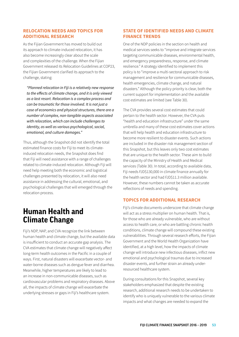## <span id="page-52-0"></span>**RELOCATION NEEDS AND TOPICS FOR ADDITIONAL RESEARCH**

As the Fijian Government has moved to build out its approach to climate-induced relocation, it has also become increasingly clear about the scale and complexities of the challenge. When the Fijian Government released its Relocation Guidelines at COP23, the Fijian Government clarified its approach to the challenge, stating:

*"Planned relocation in Fiji is a relatively new response to the effects of climate change, and it is only viewed as a last resort. Relocation is a complex process and can be traumatic for those involved. It is not just a case of economics and physical structures, there are a number of complex, non-tangible aspects associated with relocation, which can include challenges to identity, as well as various psychological, social, emotional, and culture damages."* 

Thus, although the Snapshot did not identify the total estimated finance costs for Fiji to meet its climateinduced relocation needs, the Snapshot does find that Fiji will need assistance with a range of challenges related to climate-induced relocation. Although Fiji will need help meeting both the economic and logistical challenges presented by relocation, it will also need assistance in addressing the cultural, emotional, and psychological challenges that will emerged through the relocation process.

## **Human Health and Climate Change**

Fiji's NDP, NAP, and CVA recognize the link between human health and climate change, but the available data is insufficient to conduct an accurate gap analysis. The CVA estimates that climate change will negatively affect long-term health outcomes in the Pacific in a couple of ways. First, natural disasters will exacerbate vector- and water-borne diseases such as dengue fever and diarrhea. Meanwhile, higher temperatures are likely to lead to an increase in non-communicable diseases, such as cardiovascular problems and respiratory diseases. Above all, the impacts of climate change will exacerbate the underlying stresses or gaps in Fiji's healthcare system.

## **STATE OF IDENTIFIED NEEDS AND CLIMATE FINANCE TRENDS**

One of the NDP policies in the section on health and medical services seeks to "improve and integrate services targeting communicable diseases, environmental health, and emergency preparedness, response, and climate resilience." A strategy identified to implement this policy is to "improve a multi-sectoral approach to risk management and resilience for communicable diseases, health emergencies, climate change, and natural disasters." Although the policy priority is clear, both the current support for implementation and the available cost estimates are limited (see Table 30).

The CVA provides several cost estimates that could pertain to the health sector. However, the CVA puts "health and education infrastructure" under the same umbrella and many of these cost estimates cover actions that will help health and education infrastructure to become more resilient to disaster events. Such actions are included in the disaster risk management section of this Snapshot, but this leaves only two cost estimates that are unique to the health sector. These aim to build the capacity of the Ministry of Health and Medical services (Table 30). In total, according to available data, Fiji needs FJD\$130,000 in climate finance annually for the health sector and had FJD\$11.3 million available. However, these numbers cannot be taken as accurate reflections of needs and spending.

## **TOPICS FOR ADDITIONAL RESEARCH**

Fiji's climate documents underscore that climate change will act as a stress multiplier on human health. That is, for those who are already vulnerable, who are without access to health care, or who are battling chronic health conditions, climate change will compound these existing vulnerabilities. Through several research efforts, the Fijian Government and the World Health Organization have identified, at a high level, how the impacts of climate change will introduce new infectious diseases, inflict new emotional and psychological traumas due to increased disaster events, and further strain an already underresourced healthcare system.

During consultations for this Snapshot, several key stakeholders emphasized that despite the existing research, additional research needs to be undertaken to identify who is uniquely vulnerable to the various climate impacts and what changes are needed to expand the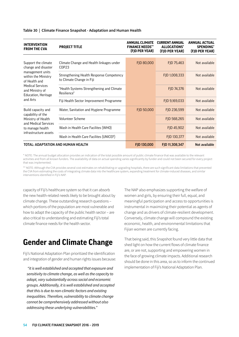| <b>INTERVENTION</b><br><b>FROM THE CVA</b>                                                                                                                                              | <b>PROJECT TITLE</b>                                                  | <b>ANNUAL CLIMATE</b><br><b>FINANCE NEEDS**</b><br>(FID PER YEAR) | <b>CURRENT ANNUAL</b><br>ALLOCATIONS*<br>(FJD PER YEAR) | <b>ANNUAL ACTUAL</b><br><b>SPENDING*</b><br>(FJD PER YEAR) |
|-----------------------------------------------------------------------------------------------------------------------------------------------------------------------------------------|-----------------------------------------------------------------------|-------------------------------------------------------------------|---------------------------------------------------------|------------------------------------------------------------|
|                                                                                                                                                                                         |                                                                       |                                                                   |                                                         |                                                            |
| Support the climate<br>change and disaster<br>management units<br>within the Ministry<br>of Health and<br><b>Medical Services</b><br>and Ministry of<br>Education, Heritage<br>and Arts | Climate Change and Health linkages under<br>COP23                     | FJD 80,000                                                        | FJD 75,463                                              | Not available                                              |
|                                                                                                                                                                                         | Strengthening Health Response Competency<br>to Climate Change in Fiji |                                                                   | FJD 1,008,333                                           | Not available                                              |
|                                                                                                                                                                                         | "Health Systems Strengthening and Climate<br>Resilience"              |                                                                   | FJD 74,376                                              | Not available                                              |
|                                                                                                                                                                                         | Fiji Health Sector Improvement Programme                              |                                                                   | FJD 9,169,033                                           | Not available                                              |
| Build capacity and<br>capability of the<br>Ministry of Health<br>and Medical Services<br>to manage health<br>infrastructure assets                                                      | Water, Sanitation and Hygiene Programme                               | FJD 50,000                                                        | FJD 236,599                                             | Not available                                              |
|                                                                                                                                                                                         | <b>Volunteer Scheme</b>                                               |                                                                   | FJD 568,265                                             | Not available                                              |
|                                                                                                                                                                                         | Wash in Health Care Facilites (WHO)                                   |                                                                   | FJD 45,902                                              | Not available                                              |
|                                                                                                                                                                                         | Wash in Health Care Facilites (UNICEF)                                |                                                                   | FJD 130,377                                             | Not available                                              |
| TOTAL: ADAPTATION AND HUMAN HEALTH                                                                                                                                                      |                                                                       | FJD 130,000                                                       | FJD 11,308,347                                          | Not available                                              |

#### <span id="page-53-0"></span>**Table 30 | Climate Finance Snapshot - Adaptation and Human Health**

\* NOTE: The annual budget allocation provides an indication of the total possible amount of public climate finance that was available to the relevant activities and from all known funders. The availability of data on actual spending varies significantly by funder and could not been secured for every project that was implemented.

\*\* NOTE: Although the CVA provides several cost estimates on rehabilitating or upgrading hospitals, there are such significant data limitations that prevented the CVA from estimating the costs of integrating climate data into the healthcare system, expanding treatment for climate-induced diseases, and similar interventions identified in Fiji's NAP.

capacity of Fiji's healthcare system so that it can absorb the new health-related needs likely to be brought about by climate change. These outstanding research questions – which portions of the population are most vulnerable and how to adapt the capacity of the public health sector – are also critical to understanding and estimating Fiji's total climate finance needs for the health sector.

## **Gender and Climate Change**

Fiji's National Adaptation Plan prioritized the identification and integration of gender and human rights issues because:

 *"it is well established and accepted that exposure and sensitivity to climate change, as well as the capacity to adapt, vary substantially across social and economic groups. Additionally, it is well established and accepted that this is due to non-climatic factors and existing inequalities. Therefore, vulnerability to climate change cannot be comprehensively addressed without also addressing these underlying vulnerabilities."*

The NAP also emphasizes supporting the welfare of women and girls, by ensuring their full, equal, and meaningful participation and access to opportunities is instrumental in maximizing their potential as agents of change and as drivers of climate-resilient development. Conversely, climate change will compound the existing economic, health, and environmental limitations that Fijian women are currently facing.

That being said, this Snapshot found very little data that shed light on how the current flows of climate finance are, or are not, supporting and empowering women in the face of growing climate impacts. Additional research should be done in this area, so as to inform the continued implementation of Fiji's National Adaptation Plan.